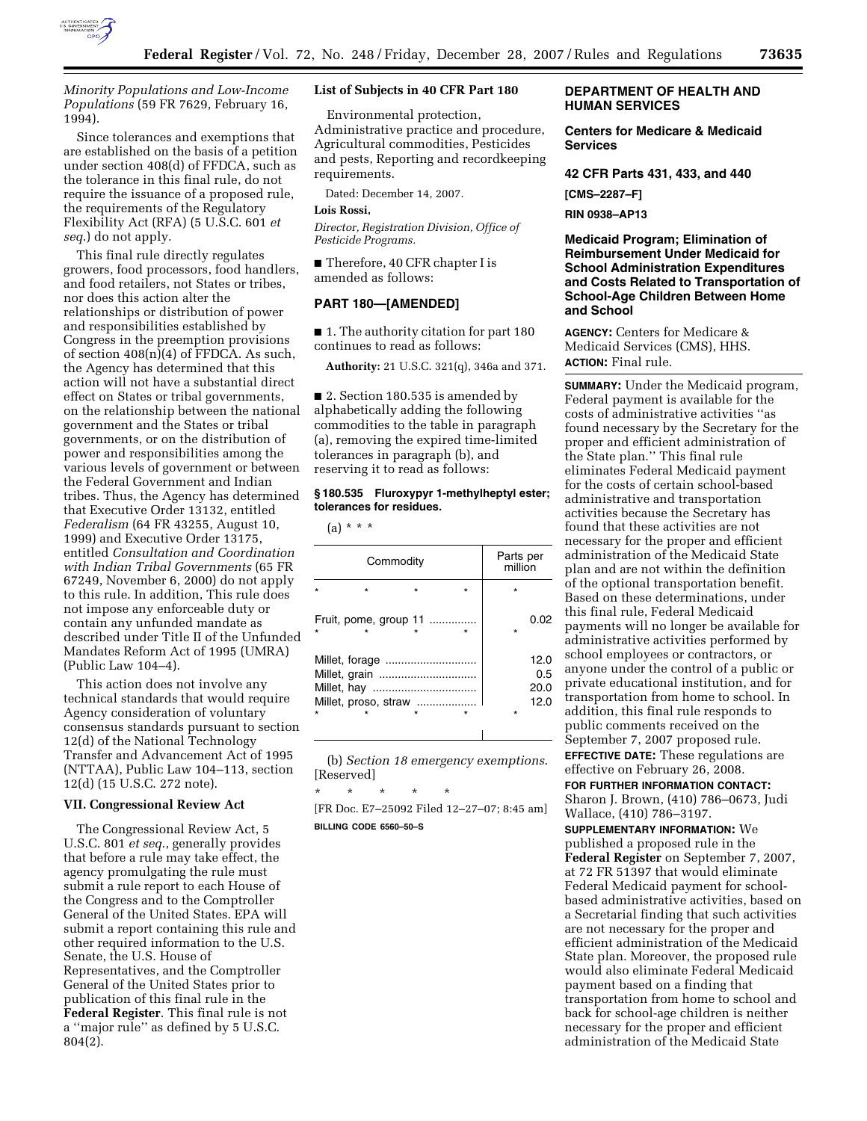

*Minority Populations and Low-Income Populations* (59 FR 7629, February 16, 1994).

Since tolerances and exemptions that are established on the basis of a petition under section 408(d) of FFDCA, such as the tolerance in this final rule, do not require the issuance of a proposed rule, the requirements of the Regulatory Flexibility Act (RFA) (5 U.S.C. 601 *et seq*.) do not apply.

This final rule directly regulates growers, food processors, food handlers, and food retailers, not States or tribes, nor does this action alter the relationships or distribution of power and responsibilities established by Congress in the preemption provisions of section  $408(n)(4)$  of FFDCA. As such, the Agency has determined that this action will not have a substantial direct effect on States or tribal governments, on the relationship between the national government and the States or tribal governments, or on the distribution of power and responsibilities among the various levels of government or between the Federal Government and Indian tribes. Thus, the Agency has determined that Executive Order 13132, entitled *Federalism* (64 FR 43255, August 10, 1999) and Executive Order 13175, entitled *Consultation and Coordination with Indian Tribal Governments* (65 FR 67249, November 6, 2000) do not apply to this rule. In addition, This rule does not impose any enforceable duty or contain any unfunded mandate as described under Title II of the Unfunded Mandates Reform Act of 1995 (UMRA) (Public Law 104–4).

This action does not involve any technical standards that would require Agency consideration of voluntary consensus standards pursuant to section 12(d) of the National Technology Transfer and Advancement Act of 1995 (NTTAA), Public Law 104–113, section 12(d) (15 U.S.C. 272 note).

#### **VII. Congressional Review Act**

The Congressional Review Act, 5 U.S.C. 801 *et seq*., generally provides that before a rule may take effect, the agency promulgating the rule must submit a rule report to each House of the Congress and to the Comptroller General of the United States. EPA will submit a report containing this rule and other required information to the U.S. Senate, the U.S. House of Representatives, and the Comptroller General of the United States prior to publication of this final rule in the **Federal Register**. This final rule is not a ''major rule'' as defined by 5 U.S.C. 804(2).

# **List of Subjects in 40 CFR Part 180**

Environmental protection, Administrative practice and procedure, Agricultural commodities, Pesticides and pests, Reporting and recordkeeping requirements.

Dated: December 14, 2007.

### **Lois Rossi,**

*Director, Registration Division, Office of Pesticide Programs.* 

■ Therefore, 40 CFR chapter I is amended as follows:

# **PART 180—[AMENDED]**

■ 1. The authority citation for part 180 continues to read as follows:

**Authority:** 21 U.S.C. 321(q), 346a and 371.

■ 2. Section 180.535 is amended by alphabetically adding the following commodities to the table in paragraph (a), removing the expired time-limited tolerances in paragraph (b), and reserving it to read as follows:

# **§ 180.535 Fluroxypyr 1-methylheptyl ester; tolerances for residues.**

 $(a) * * * *$ 

| Commodity                             |  |                       |  | Parts per<br>million |                             |
|---------------------------------------|--|-----------------------|--|----------------------|-----------------------------|
|                                       |  |                       |  | $\star$              |                             |
|                                       |  | Fruit, pome, group 11 |  | $\star$              | 0.02                        |
| Millet, grain<br>Millet, proso, straw |  |                       |  | $\star$              | 12.0<br>0.5<br>20.0<br>12.0 |

(b) *Section 18 emergency exemptions*. [Reserved]

\* \* \* \* \* [FR Doc. E7–25092 Filed 12–27–07; 8:45 am] **BILLING CODE 6560–50–S** 

# **DEPARTMENT OF HEALTH AND HUMAN SERVICES**

**Centers for Medicare & Medicaid Services** 

**42 CFR Parts 431, 433, and 440** 

**[CMS–2287–F]** 

**RIN 0938–AP13** 

**Medicaid Program; Elimination of Reimbursement Under Medicaid for School Administration Expenditures and Costs Related to Transportation of School-Age Children Between Home and School** 

**AGENCY:** Centers for Medicare & Medicaid Services (CMS), HHS. **ACTION:** Final rule.

**SUMMARY:** Under the Medicaid program, Federal payment is available for the costs of administrative activities ''as found necessary by the Secretary for the proper and efficient administration of the State plan.'' This final rule eliminates Federal Medicaid payment for the costs of certain school-based administrative and transportation activities because the Secretary has found that these activities are not necessary for the proper and efficient administration of the Medicaid State plan and are not within the definition of the optional transportation benefit. Based on these determinations, under this final rule, Federal Medicaid payments will no longer be available for administrative activities performed by school employees or contractors, or anyone under the control of a public or private educational institution, and for transportation from home to school. In addition, this final rule responds to public comments received on the September 7, 2007 proposed rule. **EFFECTIVE DATE:** These regulations are effective on February 26, 2008.

**FOR FURTHER INFORMATION CONTACT:** 

Sharon J. Brown, (410) 786–0673, Judi Wallace, (410) 786–3197.

**SUPPLEMENTARY INFORMATION:** We published a proposed rule in the **Federal Register** on September 7, 2007, at 72 FR 51397 that would eliminate Federal Medicaid payment for schoolbased administrative activities, based on a Secretarial finding that such activities are not necessary for the proper and efficient administration of the Medicaid State plan. Moreover, the proposed rule would also eliminate Federal Medicaid payment based on a finding that transportation from home to school and back for school-age children is neither necessary for the proper and efficient administration of the Medicaid State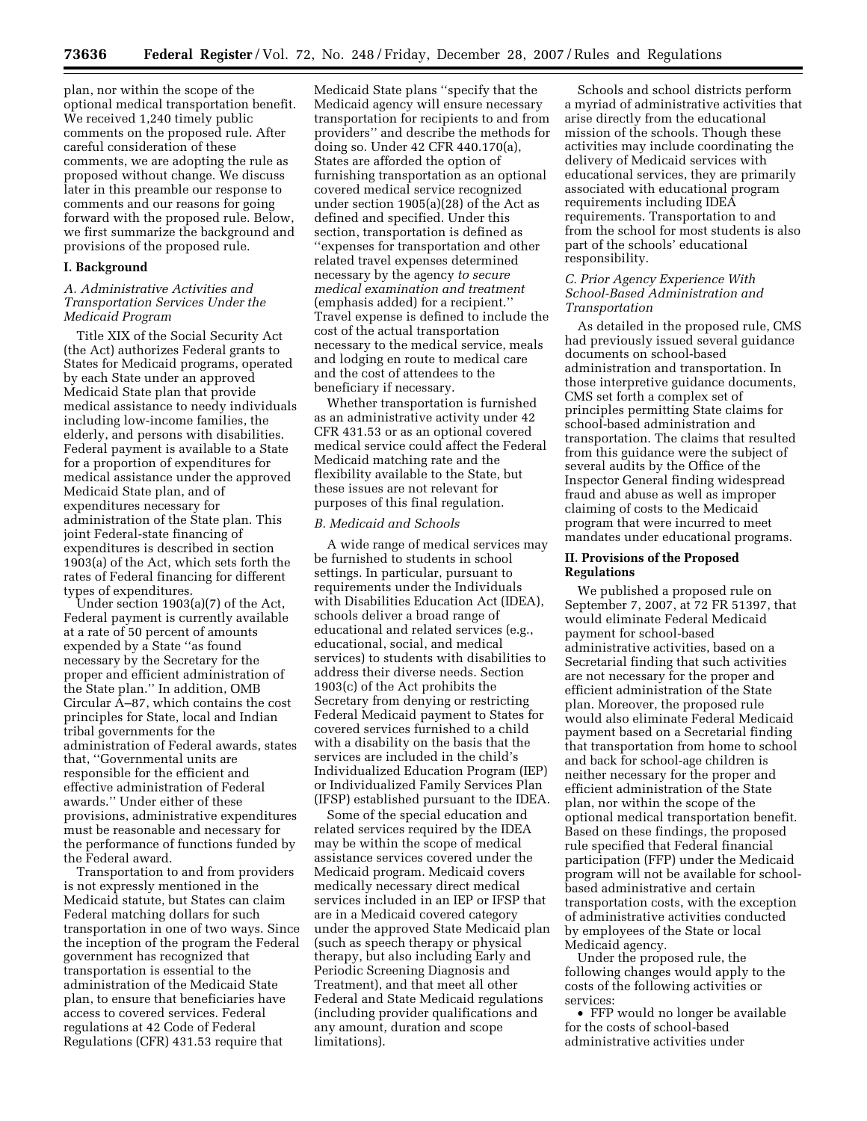plan, nor within the scope of the optional medical transportation benefit. We received 1,240 timely public comments on the proposed rule. After careful consideration of these comments, we are adopting the rule as proposed without change. We discuss later in this preamble our response to comments and our reasons for going forward with the proposed rule. Below, we first summarize the background and provisions of the proposed rule.

#### **I. Background**

# *A. Administrative Activities and Transportation Services Under the Medicaid Program*

Title XIX of the Social Security Act (the Act) authorizes Federal grants to States for Medicaid programs, operated by each State under an approved Medicaid State plan that provide medical assistance to needy individuals including low-income families, the elderly, and persons with disabilities. Federal payment is available to a State for a proportion of expenditures for medical assistance under the approved Medicaid State plan, and of expenditures necessary for administration of the State plan. This joint Federal-state financing of expenditures is described in section 1903(a) of the Act, which sets forth the rates of Federal financing for different types of expenditures.

Under section 1903(a)(7) of the Act, Federal payment is currently available at a rate of 50 percent of amounts expended by a State ''as found necessary by the Secretary for the proper and efficient administration of the State plan.'' In addition, OMB Circular A–87, which contains the cost principles for State, local and Indian tribal governments for the administration of Federal awards, states that, ''Governmental units are responsible for the efficient and effective administration of Federal awards.'' Under either of these provisions, administrative expenditures must be reasonable and necessary for the performance of functions funded by the Federal award.

Transportation to and from providers is not expressly mentioned in the Medicaid statute, but States can claim Federal matching dollars for such transportation in one of two ways. Since the inception of the program the Federal government has recognized that transportation is essential to the administration of the Medicaid State plan, to ensure that beneficiaries have access to covered services. Federal regulations at 42 Code of Federal Regulations (CFR) 431.53 require that

Medicaid State plans ''specify that the Medicaid agency will ensure necessary transportation for recipients to and from providers'' and describe the methods for doing so. Under 42 CFR 440.170(a), States are afforded the option of furnishing transportation as an optional covered medical service recognized under section 1905(a)(28) of the Act as defined and specified. Under this section, transportation is defined as ''expenses for transportation and other related travel expenses determined necessary by the agency *to secure medical examination and treatment*  (emphasis added) for a recipient.'' Travel expense is defined to include the cost of the actual transportation necessary to the medical service, meals and lodging en route to medical care and the cost of attendees to the beneficiary if necessary.

Whether transportation is furnished as an administrative activity under 42 CFR 431.53 or as an optional covered medical service could affect the Federal Medicaid matching rate and the flexibility available to the State, but these issues are not relevant for purposes of this final regulation.

## *B. Medicaid and Schools*

A wide range of medical services may be furnished to students in school settings. In particular, pursuant to requirements under the Individuals with Disabilities Education Act (IDEA), schools deliver a broad range of educational and related services (e.g., educational, social, and medical services) to students with disabilities to address their diverse needs. Section 1903(c) of the Act prohibits the Secretary from denying or restricting Federal Medicaid payment to States for covered services furnished to a child with a disability on the basis that the services are included in the child's Individualized Education Program (IEP) or Individualized Family Services Plan (IFSP) established pursuant to the IDEA.

Some of the special education and related services required by the IDEA may be within the scope of medical assistance services covered under the Medicaid program. Medicaid covers medically necessary direct medical services included in an IEP or IFSP that are in a Medicaid covered category under the approved State Medicaid plan (such as speech therapy or physical therapy, but also including Early and Periodic Screening Diagnosis and Treatment), and that meet all other Federal and State Medicaid regulations (including provider qualifications and any amount, duration and scope limitations).

Schools and school districts perform a myriad of administrative activities that arise directly from the educational mission of the schools. Though these activities may include coordinating the delivery of Medicaid services with educational services, they are primarily associated with educational program requirements including IDEA requirements. Transportation to and from the school for most students is also part of the schools' educational responsibility.

# *C. Prior Agency Experience With School-Based Administration and Transportation*

As detailed in the proposed rule, CMS had previously issued several guidance documents on school-based administration and transportation. In those interpretive guidance documents, CMS set forth a complex set of principles permitting State claims for school-based administration and transportation. The claims that resulted from this guidance were the subject of several audits by the Office of the Inspector General finding widespread fraud and abuse as well as improper claiming of costs to the Medicaid program that were incurred to meet mandates under educational programs.

# **II. Provisions of the Proposed Regulations**

We published a proposed rule on September 7, 2007, at 72 FR 51397, that would eliminate Federal Medicaid payment for school-based administrative activities, based on a Secretarial finding that such activities are not necessary for the proper and efficient administration of the State plan. Moreover, the proposed rule would also eliminate Federal Medicaid payment based on a Secretarial finding that transportation from home to school and back for school-age children is neither necessary for the proper and efficient administration of the State plan, nor within the scope of the optional medical transportation benefit. Based on these findings, the proposed rule specified that Federal financial participation (FFP) under the Medicaid program will not be available for schoolbased administrative and certain transportation costs, with the exception of administrative activities conducted by employees of the State or local Medicaid agency.

Under the proposed rule, the following changes would apply to the costs of the following activities or services:

• FFP would no longer be available for the costs of school-based administrative activities under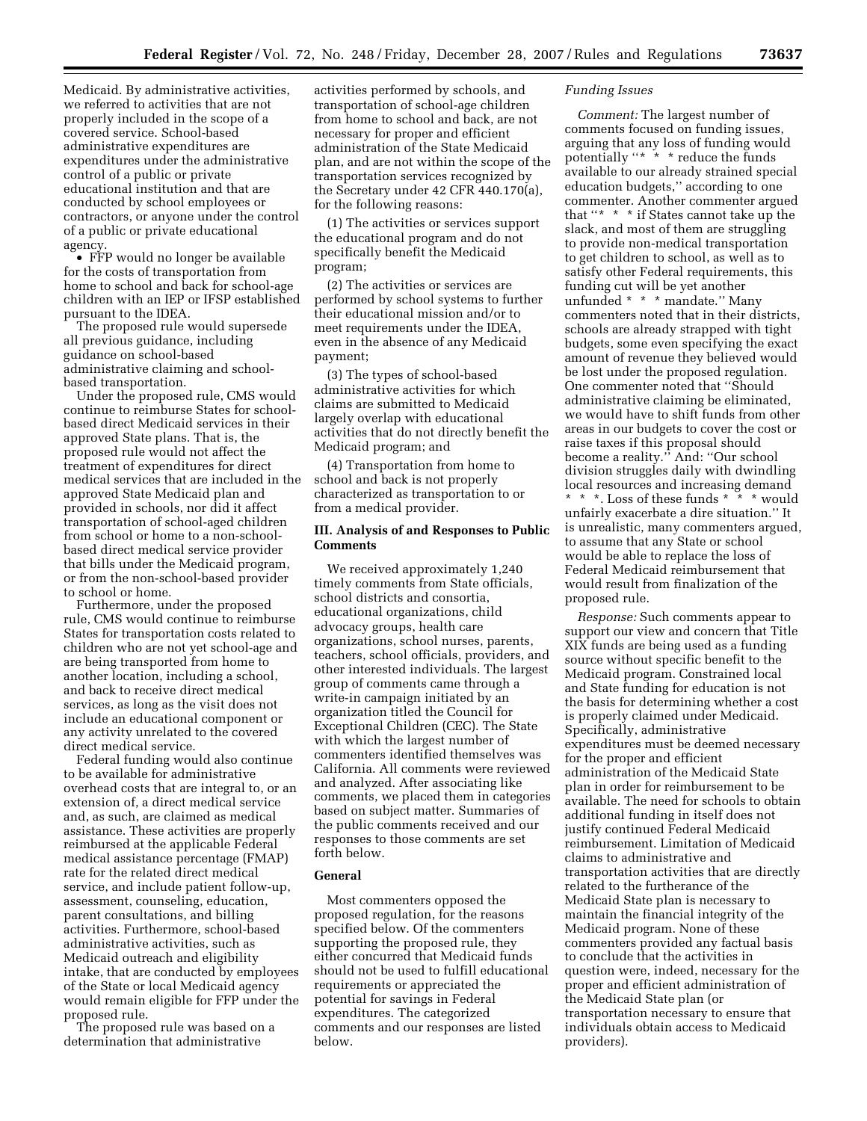Medicaid. By administrative activities, we referred to activities that are not properly included in the scope of a covered service. School-based administrative expenditures are expenditures under the administrative control of a public or private educational institution and that are conducted by school employees or contractors, or anyone under the control of a public or private educational agency.

• FFP would no longer be available for the costs of transportation from home to school and back for school-age children with an IEP or IFSP established pursuant to the IDEA.

The proposed rule would supersede all previous guidance, including guidance on school-based administrative claiming and schoolbased transportation.

Under the proposed rule, CMS would continue to reimburse States for schoolbased direct Medicaid services in their approved State plans. That is, the proposed rule would not affect the treatment of expenditures for direct medical services that are included in the approved State Medicaid plan and provided in schools, nor did it affect transportation of school-aged children from school or home to a non-schoolbased direct medical service provider that bills under the Medicaid program, or from the non-school-based provider to school or home.

Furthermore, under the proposed rule, CMS would continue to reimburse States for transportation costs related to children who are not yet school-age and are being transported from home to another location, including a school, and back to receive direct medical services, as long as the visit does not include an educational component or any activity unrelated to the covered direct medical service.

Federal funding would also continue to be available for administrative overhead costs that are integral to, or an extension of, a direct medical service and, as such, are claimed as medical assistance. These activities are properly reimbursed at the applicable Federal medical assistance percentage (FMAP) rate for the related direct medical service, and include patient follow-up, assessment, counseling, education, parent consultations, and billing activities. Furthermore, school-based administrative activities, such as Medicaid outreach and eligibility intake, that are conducted by employees of the State or local Medicaid agency would remain eligible for FFP under the proposed rule.

The proposed rule was based on a determination that administrative

activities performed by schools, and transportation of school-age children from home to school and back, are not necessary for proper and efficient administration of the State Medicaid plan, and are not within the scope of the transportation services recognized by the Secretary under 42 CFR 440.170(a), for the following reasons:

(1) The activities or services support the educational program and do not specifically benefit the Medicaid program;

(2) The activities or services are performed by school systems to further their educational mission and/or to meet requirements under the IDEA, even in the absence of any Medicaid payment;

(3) The types of school-based administrative activities for which claims are submitted to Medicaid largely overlap with educational activities that do not directly benefit the Medicaid program; and

(4) Transportation from home to school and back is not properly characterized as transportation to or from a medical provider.

# **III. Analysis of and Responses to Public Comments**

We received approximately 1,240 timely comments from State officials, school districts and consortia, educational organizations, child advocacy groups, health care organizations, school nurses, parents, teachers, school officials, providers, and other interested individuals. The largest group of comments came through a write-in campaign initiated by an organization titled the Council for Exceptional Children (CEC). The State with which the largest number of commenters identified themselves was California. All comments were reviewed and analyzed. After associating like comments, we placed them in categories based on subject matter. Summaries of the public comments received and our responses to those comments are set forth below.

# **General**

Most commenters opposed the proposed regulation, for the reasons specified below. Of the commenters supporting the proposed rule, they either concurred that Medicaid funds should not be used to fulfill educational requirements or appreciated the potential for savings in Federal expenditures. The categorized comments and our responses are listed below.

## *Funding Issues*

*Comment:* The largest number of comments focused on funding issues, arguing that any loss of funding would potentially "\* \* \* reduce the funds available to our already strained special education budgets,'' according to one commenter. Another commenter argued that '\* \* \* if States cannot take up the slack, and most of them are struggling to provide non-medical transportation to get children to school, as well as to satisfy other Federal requirements, this funding cut will be yet another unfunded \* \* \* mandate.'' Many commenters noted that in their districts, schools are already strapped with tight budgets, some even specifying the exact amount of revenue they believed would be lost under the proposed regulation. One commenter noted that ''Should administrative claiming be eliminated, we would have to shift funds from other areas in our budgets to cover the cost or raise taxes if this proposal should become a reality.'' And: ''Our school division struggles daily with dwindling local resources and increasing demand \* \* \*. Loss of these funds \* \* \* would unfairly exacerbate a dire situation.'' It is unrealistic, many commenters argued, to assume that any State or school would be able to replace the loss of Federal Medicaid reimbursement that would result from finalization of the proposed rule.

*Response:* Such comments appear to support our view and concern that Title XIX funds are being used as a funding source without specific benefit to the Medicaid program. Constrained local and State funding for education is not the basis for determining whether a cost is properly claimed under Medicaid. Specifically, administrative expenditures must be deemed necessary for the proper and efficient administration of the Medicaid State plan in order for reimbursement to be available. The need for schools to obtain additional funding in itself does not justify continued Federal Medicaid reimbursement. Limitation of Medicaid claims to administrative and transportation activities that are directly related to the furtherance of the Medicaid State plan is necessary to maintain the financial integrity of the Medicaid program. None of these commenters provided any factual basis to conclude that the activities in question were, indeed, necessary for the proper and efficient administration of the Medicaid State plan (or transportation necessary to ensure that individuals obtain access to Medicaid providers).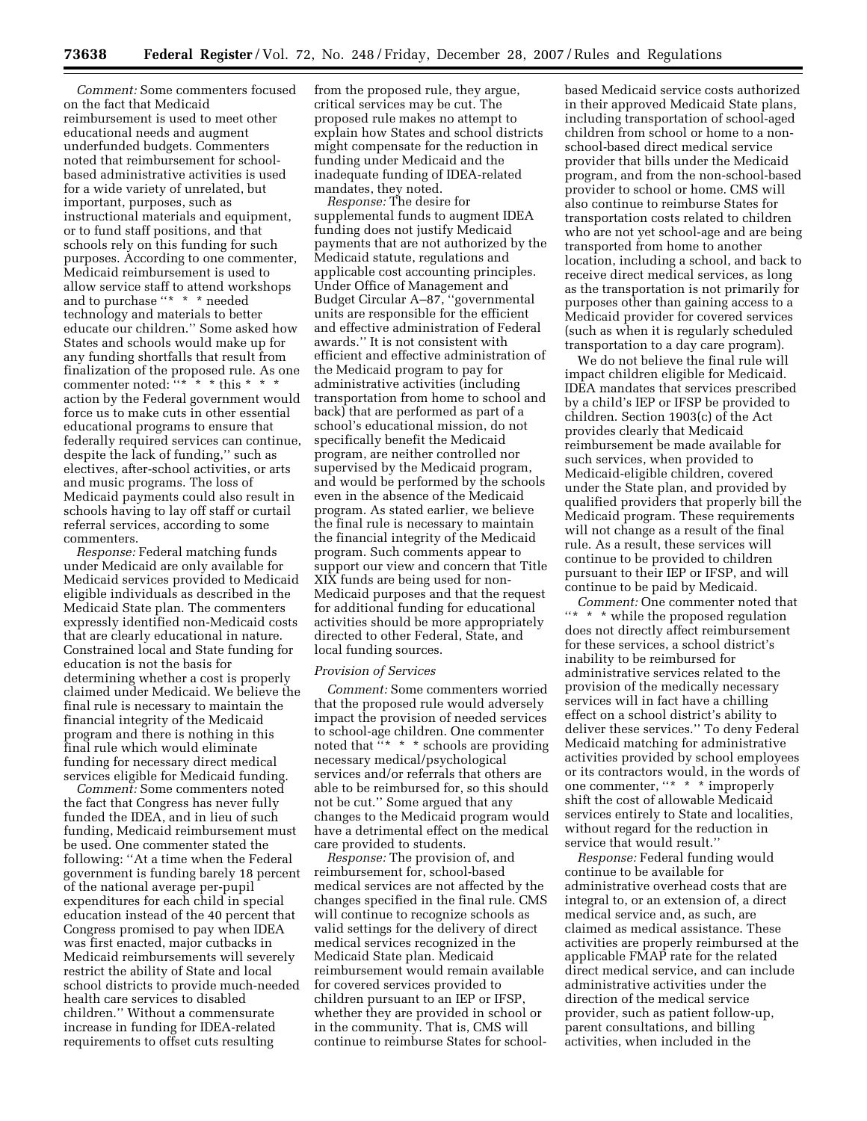*Comment:* Some commenters focused on the fact that Medicaid reimbursement is used to meet other educational needs and augment underfunded budgets. Commenters noted that reimbursement for schoolbased administrative activities is used for a wide variety of unrelated, but important, purposes, such as instructional materials and equipment, or to fund staff positions, and that schools rely on this funding for such purposes. According to one commenter, Medicaid reimbursement is used to allow service staff to attend workshops and to purchase ''\* \* \* needed technology and materials to better educate our children.'' Some asked how States and schools would make up for any funding shortfalls that result from finalization of the proposed rule. As one commenter noted:  $"**"*$  this \* \* \* action by the Federal government would force us to make cuts in other essential educational programs to ensure that federally required services can continue, despite the lack of funding,'' such as electives, after-school activities, or arts and music programs. The loss of Medicaid payments could also result in schools having to lay off staff or curtail referral services, according to some commenters.

*Response:* Federal matching funds under Medicaid are only available for Medicaid services provided to Medicaid eligible individuals as described in the Medicaid State plan. The commenters expressly identified non-Medicaid costs that are clearly educational in nature. Constrained local and State funding for education is not the basis for determining whether a cost is properly claimed under Medicaid. We believe the final rule is necessary to maintain the financial integrity of the Medicaid program and there is nothing in this final rule which would eliminate funding for necessary direct medical services eligible for Medicaid funding.

*Comment:* Some commenters noted the fact that Congress has never fully funded the IDEA, and in lieu of such funding, Medicaid reimbursement must be used. One commenter stated the following: ''At a time when the Federal government is funding barely 18 percent of the national average per-pupil expenditures for each child in special education instead of the 40 percent that Congress promised to pay when IDEA was first enacted, major cutbacks in Medicaid reimbursements will severely restrict the ability of State and local school districts to provide much-needed health care services to disabled children.'' Without a commensurate increase in funding for IDEA-related requirements to offset cuts resulting

from the proposed rule, they argue, critical services may be cut. The proposed rule makes no attempt to explain how States and school districts might compensate for the reduction in funding under Medicaid and the inadequate funding of IDEA-related mandates, they noted.

*Response:* The desire for supplemental funds to augment IDEA funding does not justify Medicaid payments that are not authorized by the Medicaid statute, regulations and applicable cost accounting principles. Under Office of Management and Budget Circular A–87, ''governmental units are responsible for the efficient and effective administration of Federal awards.'' It is not consistent with efficient and effective administration of the Medicaid program to pay for administrative activities (including transportation from home to school and back) that are performed as part of a school's educational mission, do not specifically benefit the Medicaid program, are neither controlled nor supervised by the Medicaid program, and would be performed by the schools even in the absence of the Medicaid program. As stated earlier, we believe the final rule is necessary to maintain the financial integrity of the Medicaid program. Such comments appear to support our view and concern that Title XIX funds are being used for non-Medicaid purposes and that the request for additional funding for educational activities should be more appropriately directed to other Federal, State, and local funding sources.

#### *Provision of Services*

*Comment:* Some commenters worried that the proposed rule would adversely impact the provision of needed services to school-age children. One commenter noted that  $\cdot x * *$  schools are providing necessary medical/psychological services and/or referrals that others are able to be reimbursed for, so this should not be cut.'' Some argued that any changes to the Medicaid program would have a detrimental effect on the medical care provided to students.

*Response:* The provision of, and reimbursement for, school-based medical services are not affected by the changes specified in the final rule. CMS will continue to recognize schools as valid settings for the delivery of direct medical services recognized in the Medicaid State plan. Medicaid reimbursement would remain available for covered services provided to children pursuant to an IEP or IFSP, whether they are provided in school or in the community. That is, CMS will continue to reimburse States for schoolbased Medicaid service costs authorized in their approved Medicaid State plans, including transportation of school-aged children from school or home to a nonschool-based direct medical service provider that bills under the Medicaid program, and from the non-school-based provider to school or home. CMS will also continue to reimburse States for transportation costs related to children who are not yet school-age and are being transported from home to another location, including a school, and back to receive direct medical services, as long as the transportation is not primarily for purposes other than gaining access to a Medicaid provider for covered services (such as when it is regularly scheduled transportation to a day care program).

We do not believe the final rule will impact children eligible for Medicaid. IDEA mandates that services prescribed by a child's IEP or IFSP be provided to children. Section 1903(c) of the Act provides clearly that Medicaid reimbursement be made available for such services, when provided to Medicaid-eligible children, covered under the State plan, and provided by qualified providers that properly bill the Medicaid program. These requirements will not change as a result of the final rule. As a result, these services will continue to be provided to children pursuant to their IEP or IFSP, and will continue to be paid by Medicaid.

*Comment:* One commenter noted that ''\* \* \* while the proposed regulation does not directly affect reimbursement for these services, a school district's inability to be reimbursed for administrative services related to the provision of the medically necessary services will in fact have a chilling effect on a school district's ability to deliver these services.'' To deny Federal Medicaid matching for administrative activities provided by school employees or its contractors would, in the words of one commenter, "\* \* \* improperly shift the cost of allowable Medicaid services entirely to State and localities, without regard for the reduction in service that would result.''

*Response:* Federal funding would continue to be available for administrative overhead costs that are integral to, or an extension of, a direct medical service and, as such, are claimed as medical assistance. These activities are properly reimbursed at the applicable FMAP rate for the related direct medical service, and can include administrative activities under the direction of the medical service provider, such as patient follow-up, parent consultations, and billing activities, when included in the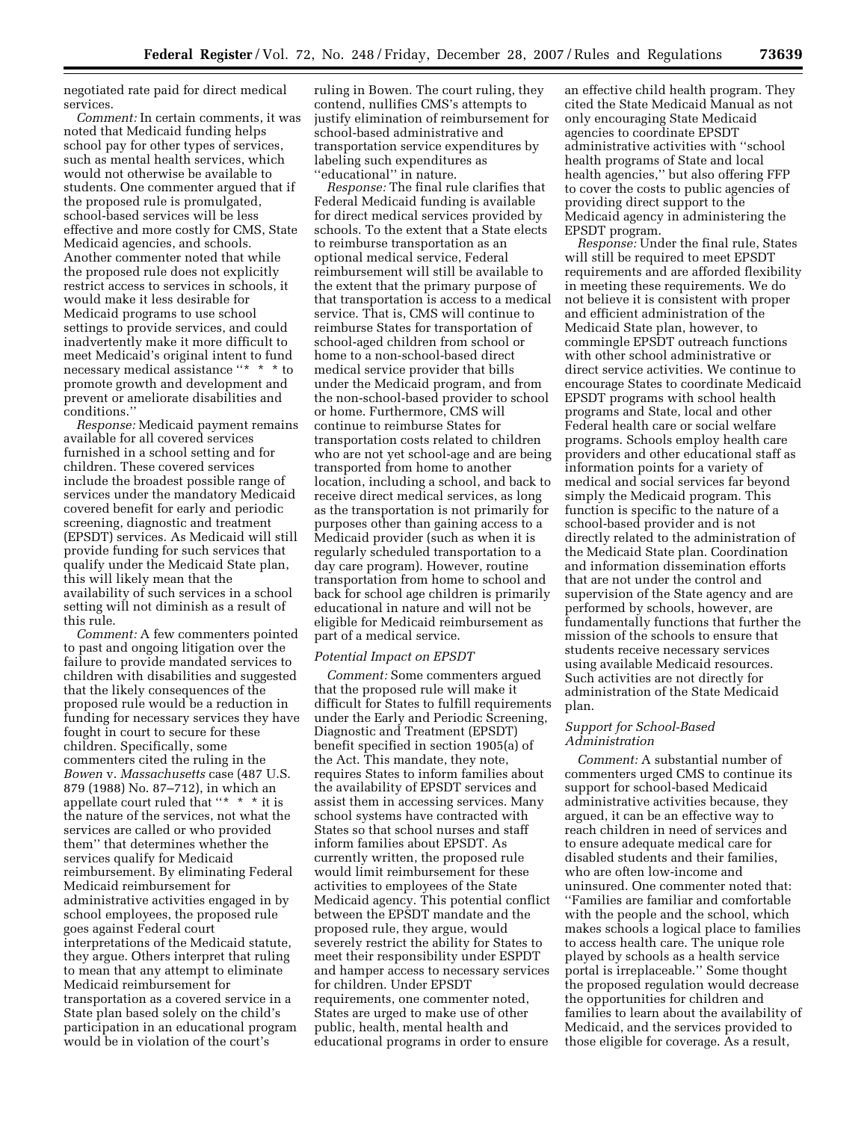negotiated rate paid for direct medical services.

*Comment:* In certain comments, it was noted that Medicaid funding helps school pay for other types of services, such as mental health services, which would not otherwise be available to students. One commenter argued that if the proposed rule is promulgated, school-based services will be less effective and more costly for CMS, State Medicaid agencies, and schools. Another commenter noted that while the proposed rule does not explicitly restrict access to services in schools, it would make it less desirable for Medicaid programs to use school settings to provide services, and could inadvertently make it more difficult to meet Medicaid's original intent to fund necessary medical assistance ''\* \* \* to promote growth and development and prevent or ameliorate disabilities and conditions.''

*Response:* Medicaid payment remains available for all covered services furnished in a school setting and for children. These covered services include the broadest possible range of services under the mandatory Medicaid covered benefit for early and periodic screening, diagnostic and treatment (EPSDT) services. As Medicaid will still provide funding for such services that qualify under the Medicaid State plan, this will likely mean that the availability of such services in a school setting will not diminish as a result of this rule.

*Comment:* A few commenters pointed to past and ongoing litigation over the failure to provide mandated services to children with disabilities and suggested that the likely consequences of the proposed rule would be a reduction in funding for necessary services they have fought in court to secure for these children. Specifically, some commenters cited the ruling in the *Bowen* v. *Massachusetts* case (487 U.S. 879 (1988) No. 87–712), in which an appellate court ruled that "\* \* \* it is the nature of the services, not what the services are called or who provided them'' that determines whether the services qualify for Medicaid reimbursement. By eliminating Federal Medicaid reimbursement for administrative activities engaged in by school employees, the proposed rule goes against Federal court interpretations of the Medicaid statute, they argue. Others interpret that ruling to mean that any attempt to eliminate Medicaid reimbursement for transportation as a covered service in a State plan based solely on the child's participation in an educational program would be in violation of the court's

ruling in Bowen. The court ruling, they contend, nullifies CMS's attempts to justify elimination of reimbursement for school-based administrative and transportation service expenditures by labeling such expenditures as ''educational'' in nature.

*Response:* The final rule clarifies that Federal Medicaid funding is available for direct medical services provided by schools. To the extent that a State elects to reimburse transportation as an optional medical service, Federal reimbursement will still be available to the extent that the primary purpose of that transportation is access to a medical service. That is, CMS will continue to reimburse States for transportation of school-aged children from school or home to a non-school-based direct medical service provider that bills under the Medicaid program, and from the non-school-based provider to school or home. Furthermore, CMS will continue to reimburse States for transportation costs related to children who are not yet school-age and are being transported from home to another location, including a school, and back to receive direct medical services, as long as the transportation is not primarily for purposes other than gaining access to a Medicaid provider (such as when it is regularly scheduled transportation to a day care program). However, routine transportation from home to school and back for school age children is primarily educational in nature and will not be eligible for Medicaid reimbursement as part of a medical service.

#### *Potential Impact on EPSDT*

*Comment:* Some commenters argued that the proposed rule will make it difficult for States to fulfill requirements under the Early and Periodic Screening, Diagnostic and Treatment (EPSDT) benefit specified in section 1905(a) of the Act. This mandate, they note, requires States to inform families about the availability of EPSDT services and assist them in accessing services. Many school systems have contracted with States so that school nurses and staff inform families about EPSDT. As currently written, the proposed rule would limit reimbursement for these activities to employees of the State Medicaid agency. This potential conflict between the EPSDT mandate and the proposed rule, they argue, would severely restrict the ability for States to meet their responsibility under ESPDT and hamper access to necessary services for children. Under EPSDT requirements, one commenter noted, States are urged to make use of other public, health, mental health and educational programs in order to ensure

an effective child health program. They cited the State Medicaid Manual as not only encouraging State Medicaid agencies to coordinate EPSDT administrative activities with ''school health programs of State and local health agencies," but also offering FFP to cover the costs to public agencies of providing direct support to the Medicaid agency in administering the EPSDT program.

*Response:* Under the final rule, States will still be required to meet EPSDT requirements and are afforded flexibility in meeting these requirements. We do not believe it is consistent with proper and efficient administration of the Medicaid State plan, however, to commingle EPSDT outreach functions with other school administrative or direct service activities. We continue to encourage States to coordinate Medicaid EPSDT programs with school health programs and State, local and other Federal health care or social welfare programs. Schools employ health care providers and other educational staff as information points for a variety of medical and social services far beyond simply the Medicaid program. This function is specific to the nature of a school-based provider and is not directly related to the administration of the Medicaid State plan. Coordination and information dissemination efforts that are not under the control and supervision of the State agency and are performed by schools, however, are fundamentally functions that further the mission of the schools to ensure that students receive necessary services using available Medicaid resources. Such activities are not directly for administration of the State Medicaid plan.

#### *Support for School-Based Administration*

*Comment:* A substantial number of commenters urged CMS to continue its support for school-based Medicaid administrative activities because, they argued, it can be an effective way to reach children in need of services and to ensure adequate medical care for disabled students and their families, who are often low-income and uninsured. One commenter noted that: ''Families are familiar and comfortable with the people and the school, which makes schools a logical place to families to access health care. The unique role played by schools as a health service portal is irreplaceable.'' Some thought the proposed regulation would decrease the opportunities for children and families to learn about the availability of Medicaid, and the services provided to those eligible for coverage. As a result,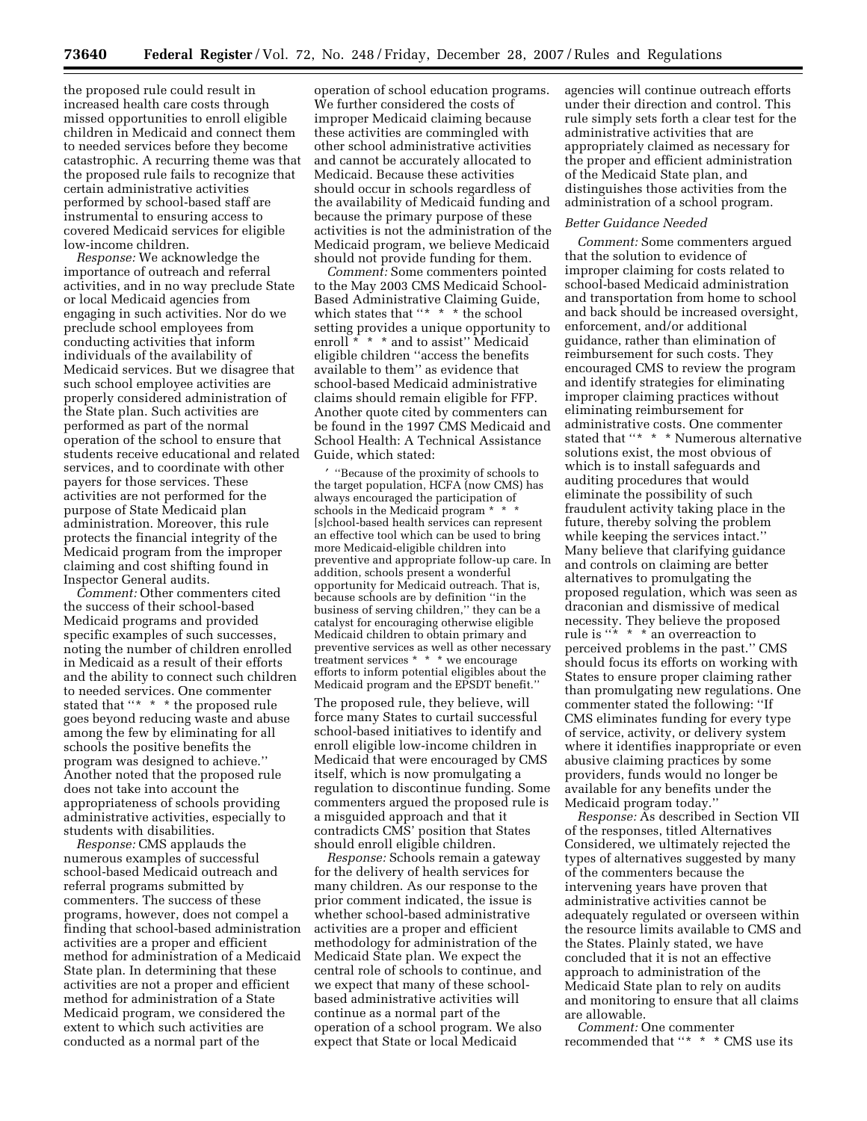the proposed rule could result in increased health care costs through missed opportunities to enroll eligible children in Medicaid and connect them to needed services before they become catastrophic. A recurring theme was that the proposed rule fails to recognize that certain administrative activities performed by school-based staff are instrumental to ensuring access to covered Medicaid services for eligible low-income children.

*Response:* We acknowledge the importance of outreach and referral activities, and in no way preclude State or local Medicaid agencies from engaging in such activities. Nor do we preclude school employees from conducting activities that inform individuals of the availability of Medicaid services. But we disagree that such school employee activities are properly considered administration of the State plan. Such activities are performed as part of the normal operation of the school to ensure that students receive educational and related services, and to coordinate with other payers for those services. These activities are not performed for the purpose of State Medicaid plan administration. Moreover, this rule protects the financial integrity of the Medicaid program from the improper claiming and cost shifting found in Inspector General audits.

*Comment:* Other commenters cited the success of their school-based Medicaid programs and provided specific examples of such successes. noting the number of children enrolled in Medicaid as a result of their efforts and the ability to connect such children to needed services. One commenter stated that "\* \* \* the proposed rule goes beyond reducing waste and abuse among the few by eliminating for all schools the positive benefits the program was designed to achieve.'' Another noted that the proposed rule does not take into account the appropriateness of schools providing administrative activities, especially to students with disabilities.

*Response:* CMS applauds the numerous examples of successful school-based Medicaid outreach and referral programs submitted by commenters. The success of these programs, however, does not compel a finding that school-based administration activities are a proper and efficient method for administration of a Medicaid State plan. In determining that these activities are not a proper and efficient method for administration of a State Medicaid program, we considered the extent to which such activities are conducted as a normal part of the

operation of school education programs. We further considered the costs of improper Medicaid claiming because these activities are commingled with other school administrative activities and cannot be accurately allocated to Medicaid. Because these activities should occur in schools regardless of the availability of Medicaid funding and because the primary purpose of these activities is not the administration of the Medicaid program, we believe Medicaid should not provide funding for them.

*Comment:* Some commenters pointed to the May 2003 CMS Medicaid School-Based Administrative Claiming Guide, which states that "\* \* \* the school setting provides a unique opportunity to enroll \* \* \* and to assist" Medicaid eligible children ''access the benefits available to them'' as evidence that school-based Medicaid administrative claims should remain eligible for FFP. Another quote cited by commenters can be found in the 1997 CMS Medicaid and School Health: A Technical Assistance Guide, which stated:

′ ''Because of the proximity of schools to the target population, HCFA (now CMS) has always encouraged the participation of schools in the Medicaid program \* \* \* [s]chool-based health services can represent an effective tool which can be used to bring more Medicaid-eligible children into preventive and appropriate follow-up care. In addition, schools present a wonderful opportunity for Medicaid outreach. That is, because schools are by definition ''in the business of serving children," they can be a catalyst for encouraging otherwise eligible Medicaid children to obtain primary and preventive services as well as other necessary treatment services \* \* \* we encourage efforts to inform potential eligibles about the Medicaid program and the EPSDT benefit.''

The proposed rule, they believe, will force many States to curtail successful school-based initiatives to identify and enroll eligible low-income children in Medicaid that were encouraged by CMS itself, which is now promulgating a regulation to discontinue funding. Some commenters argued the proposed rule is a misguided approach and that it contradicts CMS' position that States should enroll eligible children.

*Response:* Schools remain a gateway for the delivery of health services for many children. As our response to the prior comment indicated, the issue is whether school-based administrative activities are a proper and efficient methodology for administration of the Medicaid State plan. We expect the central role of schools to continue, and we expect that many of these schoolbased administrative activities will continue as a normal part of the operation of a school program. We also expect that State or local Medicaid

agencies will continue outreach efforts under their direction and control. This rule simply sets forth a clear test for the administrative activities that are appropriately claimed as necessary for the proper and efficient administration of the Medicaid State plan, and distinguishes those activities from the administration of a school program.

## *Better Guidance Needed*

*Comment:* Some commenters argued that the solution to evidence of improper claiming for costs related to school-based Medicaid administration and transportation from home to school and back should be increased oversight, enforcement, and/or additional guidance, rather than elimination of reimbursement for such costs. They encouraged CMS to review the program and identify strategies for eliminating improper claiming practices without eliminating reimbursement for administrative costs. One commenter stated that ''\* \* \* Numerous alternative solutions exist, the most obvious of which is to install safeguards and auditing procedures that would eliminate the possibility of such fraudulent activity taking place in the future, thereby solving the problem while keeping the services intact.'' Many believe that clarifying guidance and controls on claiming are better alternatives to promulgating the proposed regulation, which was seen as draconian and dismissive of medical necessity. They believe the proposed rule is ''\* \* \* an overreaction to perceived problems in the past.'' CMS should focus its efforts on working with States to ensure proper claiming rather than promulgating new regulations. One commenter stated the following: ''If CMS eliminates funding for every type of service, activity, or delivery system where it identifies inappropriate or even abusive claiming practices by some providers, funds would no longer be available for any benefits under the Medicaid program today.''

*Response:* As described in Section VII of the responses, titled Alternatives Considered, we ultimately rejected the types of alternatives suggested by many of the commenters because the intervening years have proven that administrative activities cannot be adequately regulated or overseen within the resource limits available to CMS and the States. Plainly stated, we have concluded that it is not an effective approach to administration of the Medicaid State plan to rely on audits and monitoring to ensure that all claims are allowable.

*Comment:* One commenter recommended that "\* \* \* CMS use its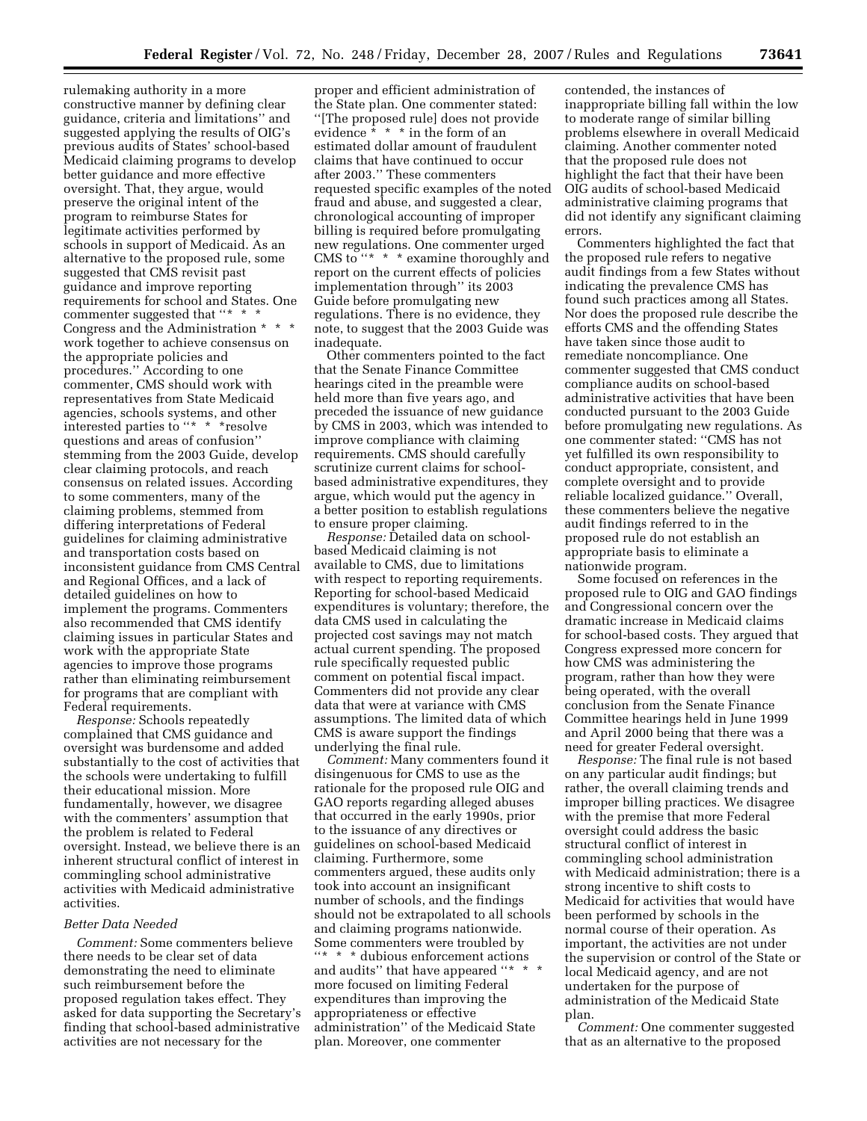rulemaking authority in a more constructive manner by defining clear guidance, criteria and limitations'' and suggested applying the results of OIG's previous audits of States' school-based Medicaid claiming programs to develop better guidance and more effective oversight. That, they argue, would preserve the original intent of the program to reimburse States for legitimate activities performed by schools in support of Medicaid. As an alternative to the proposed rule, some suggested that CMS revisit past guidance and improve reporting requirements for school and States. One commenter suggested that "\* \* \* Congress and the Administration \* \* \* work together to achieve consensus on the appropriate policies and procedures.'' According to one commenter, CMS should work with representatives from State Medicaid agencies, schools systems, and other interested parties to ''\* \* \*resolve questions and areas of confusion'' stemming from the 2003 Guide, develop clear claiming protocols, and reach consensus on related issues. According to some commenters, many of the claiming problems, stemmed from differing interpretations of Federal guidelines for claiming administrative and transportation costs based on inconsistent guidance from CMS Central and Regional Offices, and a lack of detailed guidelines on how to implement the programs. Commenters also recommended that CMS identify claiming issues in particular States and work with the appropriate State agencies to improve those programs rather than eliminating reimbursement for programs that are compliant with Federal requirements.

*Response:* Schools repeatedly complained that CMS guidance and oversight was burdensome and added substantially to the cost of activities that the schools were undertaking to fulfill their educational mission. More fundamentally, however, we disagree with the commenters' assumption that the problem is related to Federal oversight. Instead, we believe there is an inherent structural conflict of interest in commingling school administrative activities with Medicaid administrative activities.

## *Better Data Needed*

*Comment:* Some commenters believe there needs to be clear set of data demonstrating the need to eliminate such reimbursement before the proposed regulation takes effect. They asked for data supporting the Secretary's finding that school-based administrative activities are not necessary for the

proper and efficient administration of the State plan. One commenter stated: ''[The proposed rule] does not provide evidence \* \* \* in the form of an estimated dollar amount of fraudulent claims that have continued to occur after 2003.'' These commenters requested specific examples of the noted fraud and abuse, and suggested a clear, chronological accounting of improper billing is required before promulgating new regulations. One commenter urged CMS to "\* \* \* examine thoroughly and report on the current effects of policies implementation through'' its 2003 Guide before promulgating new regulations. There is no evidence, they note, to suggest that the 2003 Guide was inadequate.

Other commenters pointed to the fact that the Senate Finance Committee hearings cited in the preamble were held more than five years ago, and preceded the issuance of new guidance by CMS in 2003, which was intended to improve compliance with claiming requirements. CMS should carefully scrutinize current claims for schoolbased administrative expenditures, they argue, which would put the agency in a better position to establish regulations to ensure proper claiming.

*Response:* Detailed data on schoolbased Medicaid claiming is not available to CMS, due to limitations with respect to reporting requirements. Reporting for school-based Medicaid expenditures is voluntary; therefore, the data CMS used in calculating the projected cost savings may not match actual current spending. The proposed rule specifically requested public comment on potential fiscal impact. Commenters did not provide any clear data that were at variance with CMS assumptions. The limited data of which CMS is aware support the findings underlying the final rule.

*Comment:* Many commenters found it disingenuous for CMS to use as the rationale for the proposed rule OIG and GAO reports regarding alleged abuses that occurred in the early 1990s, prior to the issuance of any directives or guidelines on school-based Medicaid claiming. Furthermore, some commenters argued, these audits only took into account an insignificant number of schools, and the findings should not be extrapolated to all schools and claiming programs nationwide. Some commenters were troubled by ''\* \* \* dubious enforcement actions and audits" that have appeared "\* \* \* more focused on limiting Federal expenditures than improving the appropriateness or effective administration'' of the Medicaid State plan. Moreover, one commenter

contended, the instances of inappropriate billing fall within the low to moderate range of similar billing problems elsewhere in overall Medicaid claiming. Another commenter noted that the proposed rule does not highlight the fact that their have been OIG audits of school-based Medicaid administrative claiming programs that did not identify any significant claiming errors.

Commenters highlighted the fact that the proposed rule refers to negative audit findings from a few States without indicating the prevalence CMS has found such practices among all States. Nor does the proposed rule describe the efforts CMS and the offending States have taken since those audit to remediate noncompliance. One commenter suggested that CMS conduct compliance audits on school-based administrative activities that have been conducted pursuant to the 2003 Guide before promulgating new regulations. As one commenter stated: ''CMS has not yet fulfilled its own responsibility to conduct appropriate, consistent, and complete oversight and to provide reliable localized guidance.'' Overall, these commenters believe the negative audit findings referred to in the proposed rule do not establish an appropriate basis to eliminate a nationwide program.

Some focused on references in the proposed rule to OIG and GAO findings and Congressional concern over the dramatic increase in Medicaid claims for school-based costs. They argued that Congress expressed more concern for how CMS was administering the program, rather than how they were being operated, with the overall conclusion from the Senate Finance Committee hearings held in June 1999 and April 2000 being that there was a need for greater Federal oversight.

*Response:* The final rule is not based on any particular audit findings; but rather, the overall claiming trends and improper billing practices. We disagree with the premise that more Federal oversight could address the basic structural conflict of interest in commingling school administration with Medicaid administration; there is a strong incentive to shift costs to Medicaid for activities that would have been performed by schools in the normal course of their operation. As important, the activities are not under the supervision or control of the State or local Medicaid agency, and are not undertaken for the purpose of administration of the Medicaid State plan.

*Comment:* One commenter suggested that as an alternative to the proposed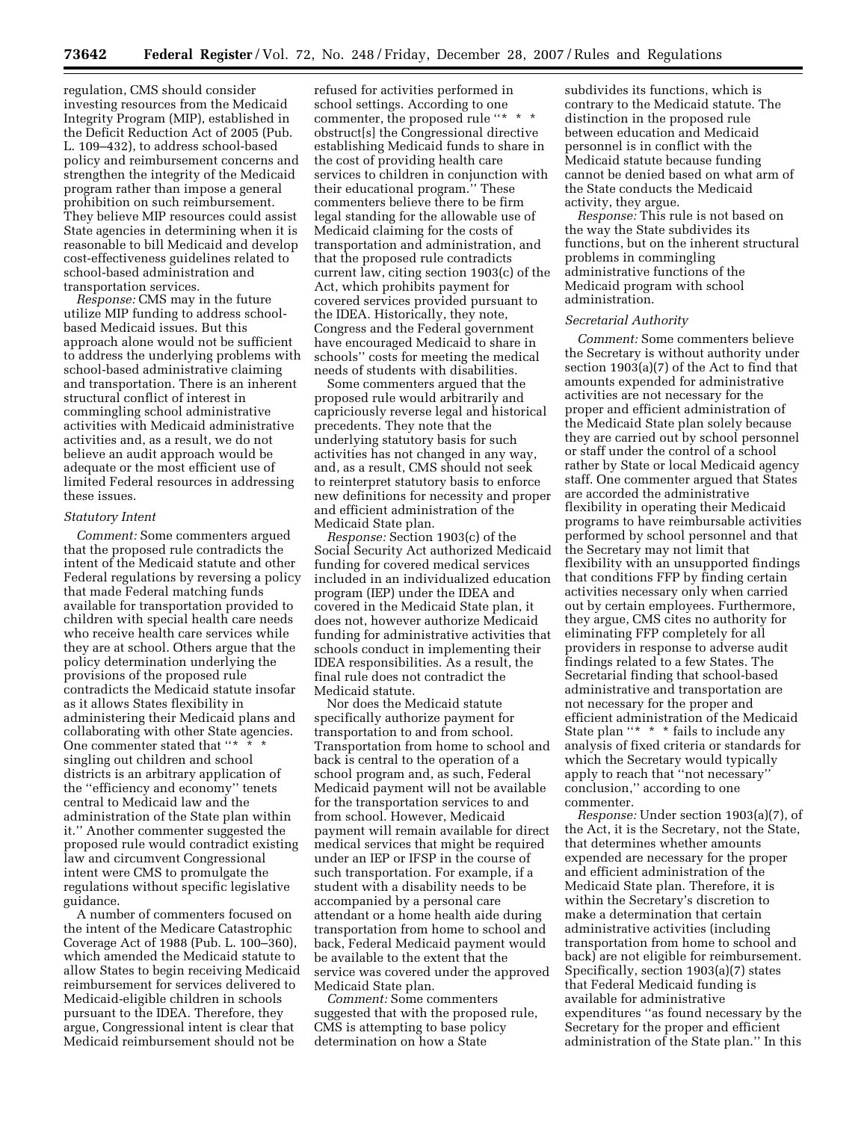regulation, CMS should consider investing resources from the Medicaid Integrity Program (MIP), established in the Deficit Reduction Act of 2005 (Pub. L. 109–432), to address school-based policy and reimbursement concerns and strengthen the integrity of the Medicaid program rather than impose a general prohibition on such reimbursement. They believe MIP resources could assist State agencies in determining when it is reasonable to bill Medicaid and develop cost-effectiveness guidelines related to school-based administration and transportation services.

*Response:* CMS may in the future utilize MIP funding to address schoolbased Medicaid issues. But this approach alone would not be sufficient to address the underlying problems with school-based administrative claiming and transportation. There is an inherent structural conflict of interest in commingling school administrative activities with Medicaid administrative activities and, as a result, we do not believe an audit approach would be adequate or the most efficient use of limited Federal resources in addressing these issues.

#### *Statutory Intent*

*Comment:* Some commenters argued that the proposed rule contradicts the intent of the Medicaid statute and other Federal regulations by reversing a policy that made Federal matching funds available for transportation provided to children with special health care needs who receive health care services while they are at school. Others argue that the policy determination underlying the provisions of the proposed rule contradicts the Medicaid statute insofar as it allows States flexibility in administering their Medicaid plans and collaborating with other State agencies. One commenter stated that "\*  $*$ singling out children and school districts is an arbitrary application of the ''efficiency and economy'' tenets central to Medicaid law and the administration of the State plan within it.'' Another commenter suggested the proposed rule would contradict existing law and circumvent Congressional intent were CMS to promulgate the regulations without specific legislative guidance.

A number of commenters focused on the intent of the Medicare Catastrophic Coverage Act of 1988 (Pub. L. 100–360), which amended the Medicaid statute to allow States to begin receiving Medicaid reimbursement for services delivered to Medicaid-eligible children in schools pursuant to the IDEA. Therefore, they argue, Congressional intent is clear that Medicaid reimbursement should not be

refused for activities performed in school settings. According to one commenter, the proposed rule "\* \* \* obstruct[s] the Congressional directive establishing Medicaid funds to share in the cost of providing health care services to children in conjunction with their educational program.'' These commenters believe there to be firm legal standing for the allowable use of Medicaid claiming for the costs of transportation and administration, and that the proposed rule contradicts current law, citing section 1903(c) of the Act, which prohibits payment for covered services provided pursuant to the IDEA. Historically, they note, Congress and the Federal government have encouraged Medicaid to share in schools'' costs for meeting the medical needs of students with disabilities.

Some commenters argued that the proposed rule would arbitrarily and capriciously reverse legal and historical precedents. They note that the underlying statutory basis for such activities has not changed in any way, and, as a result, CMS should not seek to reinterpret statutory basis to enforce new definitions for necessity and proper and efficient administration of the Medicaid State plan.

*Response:* Section 1903(c) of the Social Security Act authorized Medicaid funding for covered medical services included in an individualized education program (IEP) under the IDEA and covered in the Medicaid State plan, it does not, however authorize Medicaid funding for administrative activities that schools conduct in implementing their IDEA responsibilities. As a result, the final rule does not contradict the Medicaid statute.

Nor does the Medicaid statute specifically authorize payment for transportation to and from school. Transportation from home to school and back is central to the operation of a school program and, as such, Federal Medicaid payment will not be available for the transportation services to and from school. However, Medicaid payment will remain available for direct medical services that might be required under an IEP or IFSP in the course of such transportation. For example, if a student with a disability needs to be accompanied by a personal care attendant or a home health aide during transportation from home to school and back, Federal Medicaid payment would be available to the extent that the service was covered under the approved Medicaid State plan.

*Comment:* Some commenters suggested that with the proposed rule, CMS is attempting to base policy determination on how a State

subdivides its functions, which is contrary to the Medicaid statute. The distinction in the proposed rule between education and Medicaid personnel is in conflict with the Medicaid statute because funding cannot be denied based on what arm of the State conducts the Medicaid activity, they argue.

*Response:* This rule is not based on the way the State subdivides its functions, but on the inherent structural problems in commingling administrative functions of the Medicaid program with school administration.

### *Secretarial Authority*

*Comment:* Some commenters believe the Secretary is without authority under section 1903(a)(7) of the Act to find that amounts expended for administrative activities are not necessary for the proper and efficient administration of the Medicaid State plan solely because they are carried out by school personnel or staff under the control of a school rather by State or local Medicaid agency staff. One commenter argued that States are accorded the administrative flexibility in operating their Medicaid programs to have reimbursable activities performed by school personnel and that the Secretary may not limit that flexibility with an unsupported findings that conditions FFP by finding certain activities necessary only when carried out by certain employees. Furthermore, they argue, CMS cites no authority for eliminating FFP completely for all providers in response to adverse audit findings related to a few States. The Secretarial finding that school-based administrative and transportation are not necessary for the proper and efficient administration of the Medicaid State plan "\* \* \* fails to include any analysis of fixed criteria or standards for which the Secretary would typically apply to reach that ''not necessary'' conclusion,'' according to one commenter.

*Response:* Under section 1903(a)(7), of the Act, it is the Secretary, not the State, that determines whether amounts expended are necessary for the proper and efficient administration of the Medicaid State plan. Therefore, it is within the Secretary's discretion to make a determination that certain administrative activities (including transportation from home to school and back) are not eligible for reimbursement. Specifically, section 1903(a)(7) states that Federal Medicaid funding is available for administrative expenditures ''as found necessary by the Secretary for the proper and efficient administration of the State plan.'' In this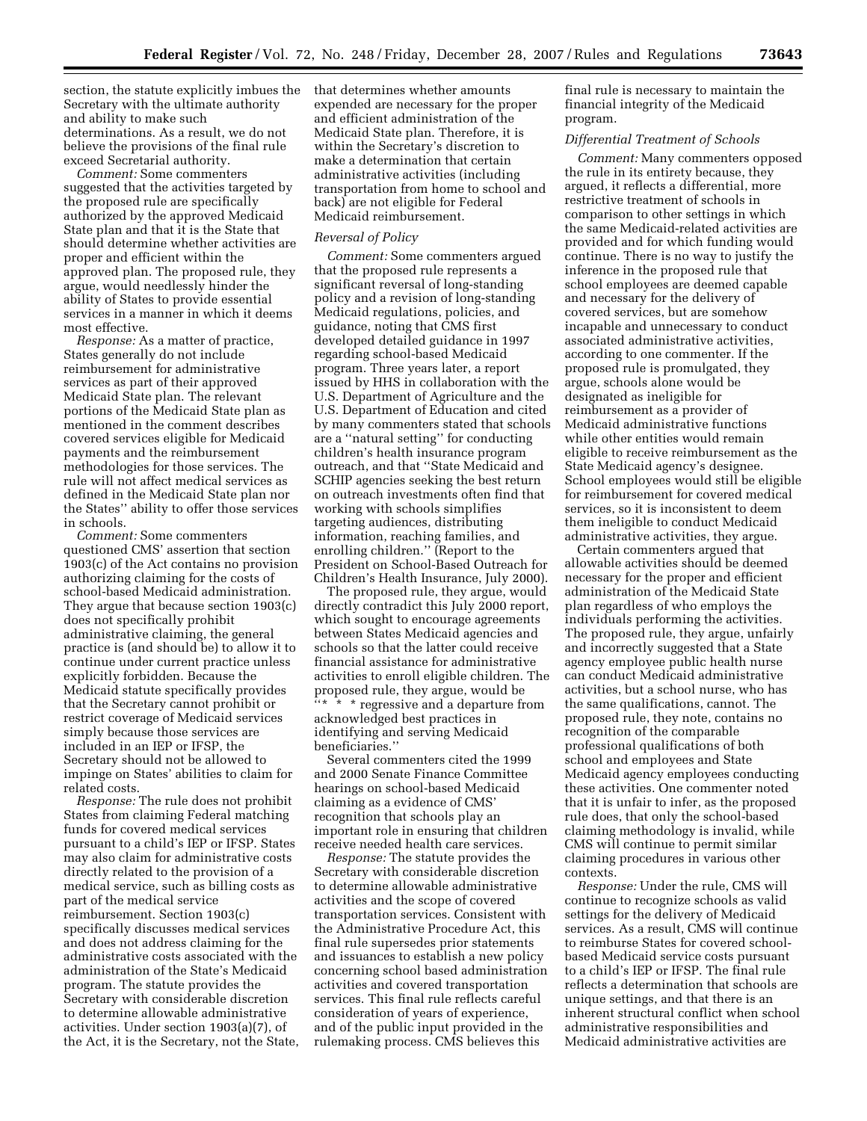section, the statute explicitly imbues the Secretary with the ultimate authority and ability to make such determinations. As a result, we do not believe the provisions of the final rule exceed Secretarial authority.

*Comment:* Some commenters suggested that the activities targeted by the proposed rule are specifically authorized by the approved Medicaid State plan and that it is the State that should determine whether activities are proper and efficient within the approved plan. The proposed rule, they argue, would needlessly hinder the ability of States to provide essential services in a manner in which it deems most effective.

*Response:* As a matter of practice, States generally do not include reimbursement for administrative services as part of their approved Medicaid State plan. The relevant portions of the Medicaid State plan as mentioned in the comment describes covered services eligible for Medicaid payments and the reimbursement methodologies for those services. The rule will not affect medical services as defined in the Medicaid State plan nor the States'' ability to offer those services in schools.

*Comment:* Some commenters questioned CMS' assertion that section 1903(c) of the Act contains no provision authorizing claiming for the costs of school-based Medicaid administration. They argue that because section 1903(c) does not specifically prohibit administrative claiming, the general practice is (and should be) to allow it to continue under current practice unless explicitly forbidden. Because the Medicaid statute specifically provides that the Secretary cannot prohibit or restrict coverage of Medicaid services simply because those services are included in an IEP or IFSP, the Secretary should not be allowed to impinge on States' abilities to claim for related costs.

*Response:* The rule does not prohibit States from claiming Federal matching funds for covered medical services pursuant to a child's IEP or IFSP. States may also claim for administrative costs directly related to the provision of a medical service, such as billing costs as part of the medical service reimbursement. Section 1903(c) specifically discusses medical services and does not address claiming for the administrative costs associated with the administration of the State's Medicaid program. The statute provides the Secretary with considerable discretion to determine allowable administrative activities. Under section 1903(a)(7), of the Act, it is the Secretary, not the State, that determines whether amounts expended are necessary for the proper and efficient administration of the Medicaid State plan. Therefore, it is within the Secretary's discretion to make a determination that certain administrative activities (including transportation from home to school and back) are not eligible for Federal Medicaid reimbursement.

#### *Reversal of Policy*

*Comment:* Some commenters argued that the proposed rule represents a significant reversal of long-standing policy and a revision of long-standing Medicaid regulations, policies, and guidance, noting that CMS first developed detailed guidance in 1997 regarding school-based Medicaid program. Three years later, a report issued by HHS in collaboration with the U.S. Department of Agriculture and the U.S. Department of Education and cited by many commenters stated that schools are a ''natural setting'' for conducting children's health insurance program outreach, and that ''State Medicaid and SCHIP agencies seeking the best return on outreach investments often find that working with schools simplifies targeting audiences, distributing information, reaching families, and enrolling children.'' (Report to the President on School-Based Outreach for Children's Health Insurance, July 2000).

The proposed rule, they argue, would directly contradict this July 2000 report, which sought to encourage agreements between States Medicaid agencies and schools so that the latter could receive financial assistance for administrative activities to enroll eligible children. The proposed rule, they argue, would be ''\* \* \* regressive and a departure from acknowledged best practices in identifying and serving Medicaid beneficiaries.''

Several commenters cited the 1999 and 2000 Senate Finance Committee hearings on school-based Medicaid claiming as a evidence of CMS' recognition that schools play an important role in ensuring that children receive needed health care services.

*Response:* The statute provides the Secretary with considerable discretion to determine allowable administrative activities and the scope of covered transportation services. Consistent with the Administrative Procedure Act, this final rule supersedes prior statements and issuances to establish a new policy concerning school based administration activities and covered transportation services. This final rule reflects careful consideration of years of experience, and of the public input provided in the rulemaking process. CMS believes this

final rule is necessary to maintain the financial integrity of the Medicaid program.

# *Differential Treatment of Schools*

*Comment:* Many commenters opposed the rule in its entirety because, they argued, it reflects a differential, more restrictive treatment of schools in comparison to other settings in which the same Medicaid-related activities are provided and for which funding would continue. There is no way to justify the inference in the proposed rule that school employees are deemed capable and necessary for the delivery of covered services, but are somehow incapable and unnecessary to conduct associated administrative activities, according to one commenter. If the proposed rule is promulgated, they argue, schools alone would be designated as ineligible for reimbursement as a provider of Medicaid administrative functions while other entities would remain eligible to receive reimbursement as the State Medicaid agency's designee. School employees would still be eligible for reimbursement for covered medical services, so it is inconsistent to deem them ineligible to conduct Medicaid administrative activities, they argue.

Certain commenters argued that allowable activities should be deemed necessary for the proper and efficient administration of the Medicaid State plan regardless of who employs the individuals performing the activities. The proposed rule, they argue, unfairly and incorrectly suggested that a State agency employee public health nurse can conduct Medicaid administrative activities, but a school nurse, who has the same qualifications, cannot. The proposed rule, they note, contains no recognition of the comparable professional qualifications of both school and employees and State Medicaid agency employees conducting these activities. One commenter noted that it is unfair to infer, as the proposed rule does, that only the school-based claiming methodology is invalid, while CMS will continue to permit similar claiming procedures in various other contexts.

*Response:* Under the rule, CMS will continue to recognize schools as valid settings for the delivery of Medicaid services. As a result, CMS will continue to reimburse States for covered schoolbased Medicaid service costs pursuant to a child's IEP or IFSP. The final rule reflects a determination that schools are unique settings, and that there is an inherent structural conflict when school administrative responsibilities and Medicaid administrative activities are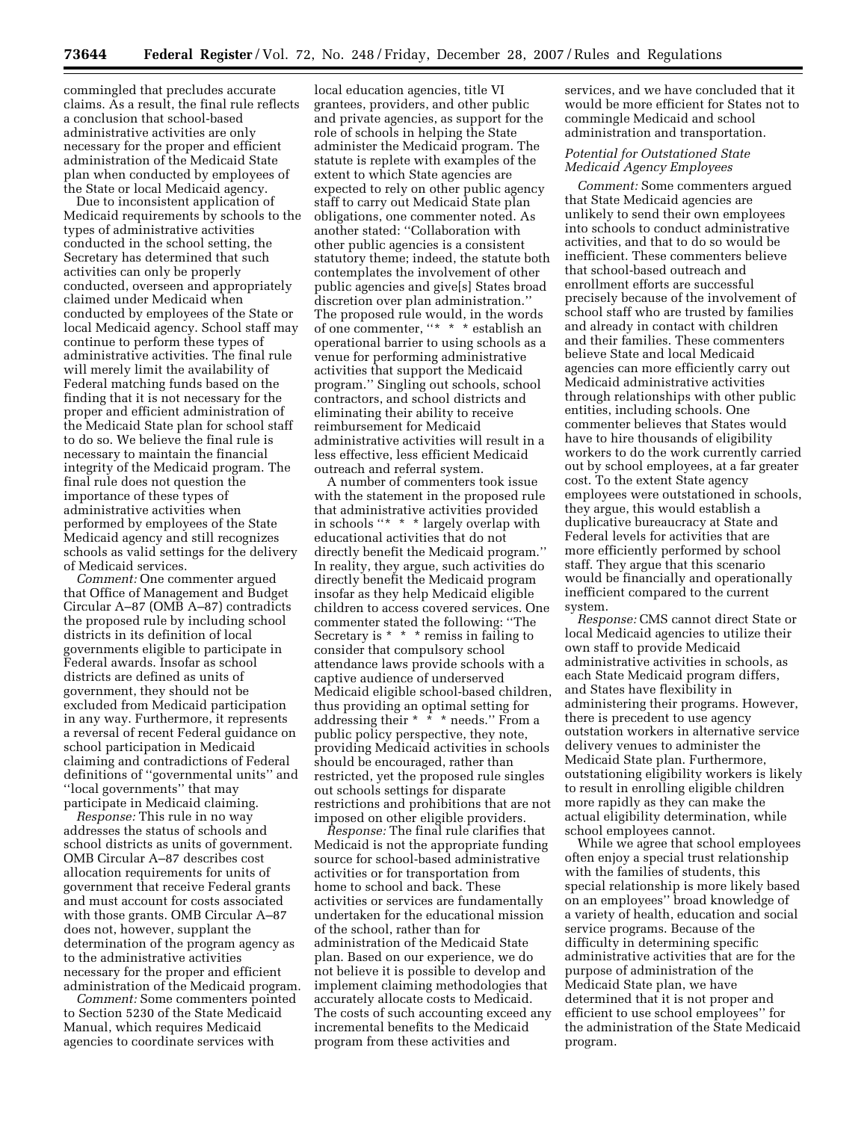commingled that precludes accurate claims. As a result, the final rule reflects a conclusion that school-based administrative activities are only necessary for the proper and efficient administration of the Medicaid State plan when conducted by employees of the State or local Medicaid agency.

Due to inconsistent application of Medicaid requirements by schools to the types of administrative activities conducted in the school setting, the Secretary has determined that such activities can only be properly conducted, overseen and appropriately claimed under Medicaid when conducted by employees of the State or local Medicaid agency. School staff may continue to perform these types of administrative activities. The final rule will merely limit the availability of Federal matching funds based on the finding that it is not necessary for the proper and efficient administration of the Medicaid State plan for school staff to do so. We believe the final rule is necessary to maintain the financial integrity of the Medicaid program. The final rule does not question the importance of these types of administrative activities when performed by employees of the State Medicaid agency and still recognizes schools as valid settings for the delivery of Medicaid services.

*Comment:* One commenter argued that Office of Management and Budget Circular A–87 (OMB A–87) contradicts the proposed rule by including school districts in its definition of local governments eligible to participate in Federal awards. Insofar as school districts are defined as units of government, they should not be excluded from Medicaid participation in any way. Furthermore, it represents a reversal of recent Federal guidance on school participation in Medicaid claiming and contradictions of Federal definitions of ''governmental units'' and ''local governments'' that may participate in Medicaid claiming.

*Response:* This rule in no way addresses the status of schools and school districts as units of government. OMB Circular A–87 describes cost allocation requirements for units of government that receive Federal grants and must account for costs associated with those grants. OMB Circular A–87 does not, however, supplant the determination of the program agency as to the administrative activities necessary for the proper and efficient administration of the Medicaid program.

*Comment:* Some commenters pointed to Section 5230 of the State Medicaid Manual, which requires Medicaid agencies to coordinate services with

local education agencies, title VI grantees, providers, and other public and private agencies, as support for the role of schools in helping the State administer the Medicaid program. The statute is replete with examples of the extent to which State agencies are expected to rely on other public agency staff to carry out Medicaid State plan obligations, one commenter noted. As another stated: ''Collaboration with other public agencies is a consistent statutory theme; indeed, the statute both contemplates the involvement of other public agencies and give[s] States broad discretion over plan administration.'' The proposed rule would, in the words of one commenter, "\* \* \* establish an operational barrier to using schools as a venue for performing administrative activities that support the Medicaid program.'' Singling out schools, school contractors, and school districts and eliminating their ability to receive reimbursement for Medicaid administrative activities will result in a less effective, less efficient Medicaid outreach and referral system.

A number of commenters took issue with the statement in the proposed rule that administrative activities provided in schools ''\* \* \* largely overlap with educational activities that do not directly benefit the Medicaid program.'' In reality, they argue, such activities do directly benefit the Medicaid program insofar as they help Medicaid eligible children to access covered services. One commenter stated the following: ''The Secretary is \* \* \* remiss in failing to consider that compulsory school attendance laws provide schools with a captive audience of underserved Medicaid eligible school-based children, thus providing an optimal setting for addressing their \* \* \* needs.'' From a public policy perspective, they note, providing Medicaid activities in schools should be encouraged, rather than restricted, yet the proposed rule singles out schools settings for disparate restrictions and prohibitions that are not imposed on other eligible providers.

*Response:* The final rule clarifies that Medicaid is not the appropriate funding source for school-based administrative activities or for transportation from home to school and back. These activities or services are fundamentally undertaken for the educational mission of the school, rather than for administration of the Medicaid State plan. Based on our experience, we do not believe it is possible to develop and implement claiming methodologies that accurately allocate costs to Medicaid. The costs of such accounting exceed any incremental benefits to the Medicaid program from these activities and

services, and we have concluded that it would be more efficient for States not to commingle Medicaid and school administration and transportation.

# *Potential for Outstationed State Medicaid Agency Employees*

*Comment:* Some commenters argued that State Medicaid agencies are unlikely to send their own employees into schools to conduct administrative activities, and that to do so would be inefficient. These commenters believe that school-based outreach and enrollment efforts are successful precisely because of the involvement of school staff who are trusted by families and already in contact with children and their families. These commenters believe State and local Medicaid agencies can more efficiently carry out Medicaid administrative activities through relationships with other public entities, including schools. One commenter believes that States would have to hire thousands of eligibility workers to do the work currently carried out by school employees, at a far greater cost. To the extent State agency employees were outstationed in schools, they argue, this would establish a duplicative bureaucracy at State and Federal levels for activities that are more efficiently performed by school staff. They argue that this scenario would be financially and operationally inefficient compared to the current system.

*Response:* CMS cannot direct State or local Medicaid agencies to utilize their own staff to provide Medicaid administrative activities in schools, as each State Medicaid program differs, and States have flexibility in administering their programs. However, there is precedent to use agency outstation workers in alternative service delivery venues to administer the Medicaid State plan. Furthermore, outstationing eligibility workers is likely to result in enrolling eligible children more rapidly as they can make the actual eligibility determination, while school employees cannot.

While we agree that school employees often enjoy a special trust relationship with the families of students, this special relationship is more likely based on an employees'' broad knowledge of a variety of health, education and social service programs. Because of the difficulty in determining specific administrative activities that are for the purpose of administration of the Medicaid State plan, we have determined that it is not proper and efficient to use school employees'' for the administration of the State Medicaid program.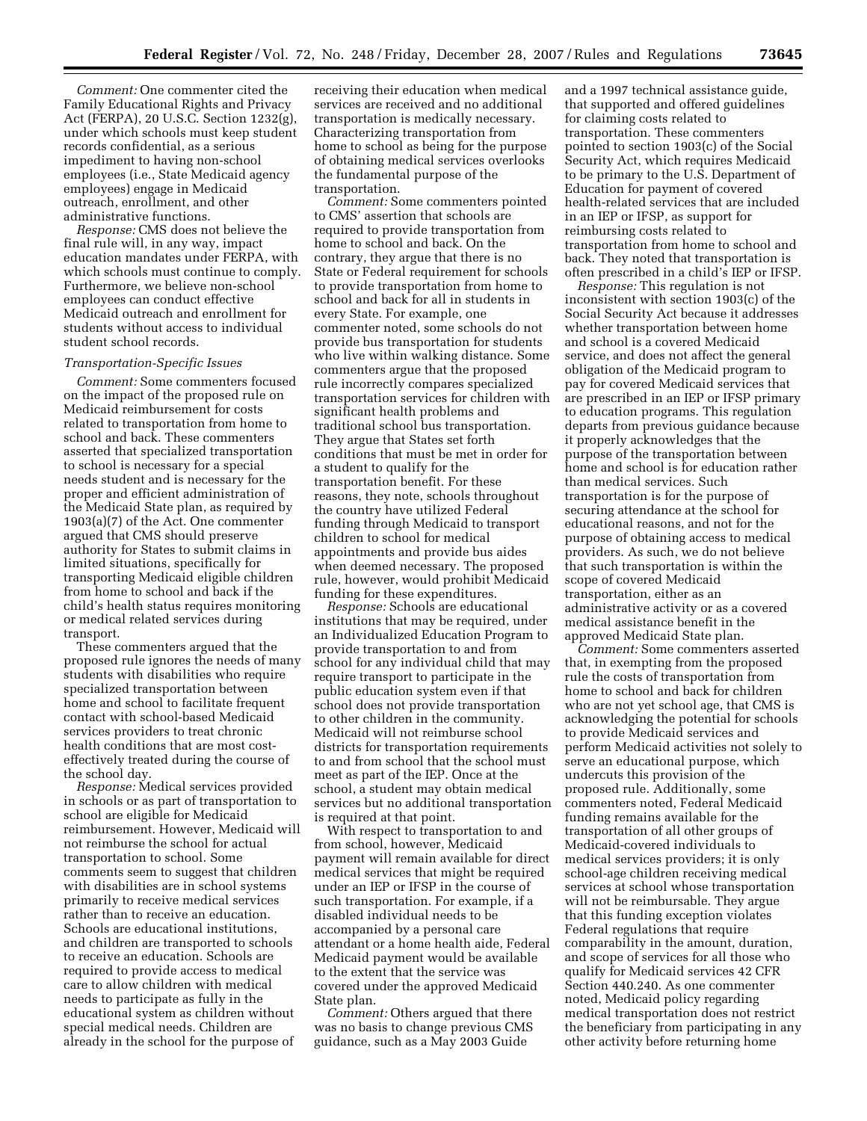*Comment:* One commenter cited the Family Educational Rights and Privacy Act (FERPA), 20 U.S.C. Section 1232(g), under which schools must keep student records confidential, as a serious impediment to having non-school employees (i.e., State Medicaid agency employees) engage in Medicaid outreach, enrollment, and other administrative functions.

*Response:* CMS does not believe the final rule will, in any way, impact education mandates under FERPA, with which schools must continue to comply. Furthermore, we believe non-school employees can conduct effective Medicaid outreach and enrollment for students without access to individual student school records.

# *Transportation-Specific Issues*

*Comment:* Some commenters focused on the impact of the proposed rule on Medicaid reimbursement for costs related to transportation from home to school and back. These commenters asserted that specialized transportation to school is necessary for a special needs student and is necessary for the proper and efficient administration of the Medicaid State plan, as required by 1903(a)(7) of the Act. One commenter argued that CMS should preserve authority for States to submit claims in limited situations, specifically for transporting Medicaid eligible children from home to school and back if the child's health status requires monitoring or medical related services during transport.

These commenters argued that the proposed rule ignores the needs of many students with disabilities who require specialized transportation between home and school to facilitate frequent contact with school-based Medicaid services providers to treat chronic health conditions that are most costeffectively treated during the course of the school day.

*Response:* Medical services provided in schools or as part of transportation to school are eligible for Medicaid reimbursement. However, Medicaid will not reimburse the school for actual transportation to school. Some comments seem to suggest that children with disabilities are in school systems primarily to receive medical services rather than to receive an education. Schools are educational institutions, and children are transported to schools to receive an education. Schools are required to provide access to medical care to allow children with medical needs to participate as fully in the educational system as children without special medical needs. Children are already in the school for the purpose of

receiving their education when medical services are received and no additional transportation is medically necessary. Characterizing transportation from home to school as being for the purpose of obtaining medical services overlooks the fundamental purpose of the transportation.

*Comment:* Some commenters pointed to CMS' assertion that schools are required to provide transportation from home to school and back. On the contrary, they argue that there is no State or Federal requirement for schools to provide transportation from home to school and back for all in students in every State. For example, one commenter noted, some schools do not provide bus transportation for students who live within walking distance. Some commenters argue that the proposed rule incorrectly compares specialized transportation services for children with significant health problems and traditional school bus transportation. They argue that States set forth conditions that must be met in order for a student to qualify for the transportation benefit. For these reasons, they note, schools throughout the country have utilized Federal funding through Medicaid to transport children to school for medical appointments and provide bus aides when deemed necessary. The proposed rule, however, would prohibit Medicaid funding for these expenditures.

*Response:* Schools are educational institutions that may be required, under an Individualized Education Program to provide transportation to and from school for any individual child that may require transport to participate in the public education system even if that school does not provide transportation to other children in the community. Medicaid will not reimburse school districts for transportation requirements to and from school that the school must meet as part of the IEP. Once at the school, a student may obtain medical services but no additional transportation is required at that point.

With respect to transportation to and from school, however, Medicaid payment will remain available for direct medical services that might be required under an IEP or IFSP in the course of such transportation. For example, if a disabled individual needs to be accompanied by a personal care attendant or a home health aide, Federal Medicaid payment would be available to the extent that the service was covered under the approved Medicaid State plan.

*Comment:* Others argued that there was no basis to change previous CMS guidance, such as a May 2003 Guide

and a 1997 technical assistance guide, that supported and offered guidelines for claiming costs related to transportation. These commenters pointed to section 1903(c) of the Social Security Act, which requires Medicaid to be primary to the U.S. Department of Education for payment of covered health-related services that are included in an IEP or IFSP, as support for reimbursing costs related to transportation from home to school and back. They noted that transportation is often prescribed in a child's IEP or IFSP.

*Response:* This regulation is not inconsistent with section 1903(c) of the Social Security Act because it addresses whether transportation between home and school is a covered Medicaid service, and does not affect the general obligation of the Medicaid program to pay for covered Medicaid services that are prescribed in an IEP or IFSP primary to education programs. This regulation departs from previous guidance because it properly acknowledges that the purpose of the transportation between home and school is for education rather than medical services. Such transportation is for the purpose of securing attendance at the school for educational reasons, and not for the purpose of obtaining access to medical providers. As such, we do not believe that such transportation is within the scope of covered Medicaid transportation, either as an administrative activity or as a covered medical assistance benefit in the approved Medicaid State plan.

*Comment:* Some commenters asserted that, in exempting from the proposed rule the costs of transportation from home to school and back for children who are not yet school age, that CMS is acknowledging the potential for schools to provide Medicaid services and perform Medicaid activities not solely to serve an educational purpose, which undercuts this provision of the proposed rule. Additionally, some commenters noted, Federal Medicaid funding remains available for the transportation of all other groups of Medicaid-covered individuals to medical services providers; it is only school-age children receiving medical services at school whose transportation will not be reimbursable. They argue that this funding exception violates Federal regulations that require comparability in the amount, duration, and scope of services for all those who qualify for Medicaid services 42 CFR Section 440.240. As one commenter noted, Medicaid policy regarding medical transportation does not restrict the beneficiary from participating in any other activity before returning home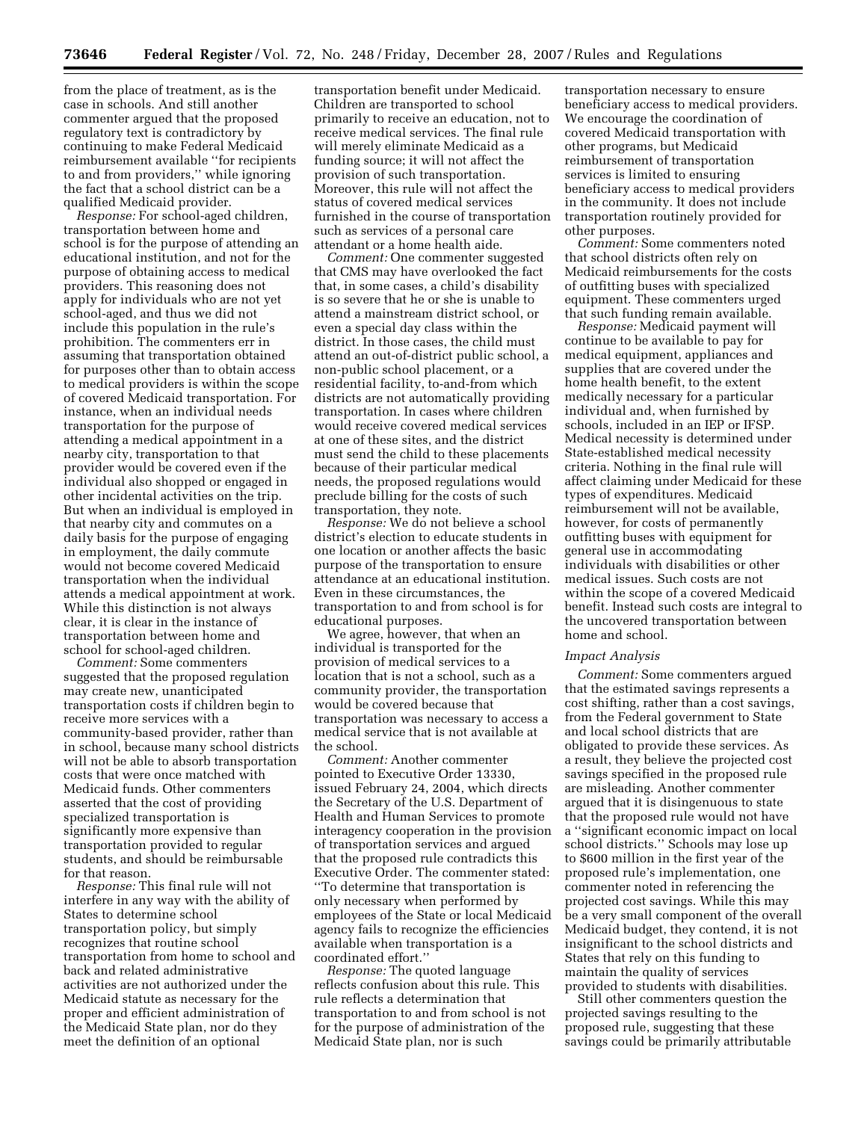from the place of treatment, as is the case in schools. And still another commenter argued that the proposed regulatory text is contradictory by continuing to make Federal Medicaid reimbursement available ''for recipients to and from providers,'' while ignoring the fact that a school district can be a qualified Medicaid provider.

*Response:* For school-aged children, transportation between home and school is for the purpose of attending an educational institution, and not for the purpose of obtaining access to medical providers. This reasoning does not apply for individuals who are not yet school-aged, and thus we did not include this population in the rule's prohibition. The commenters err in assuming that transportation obtained for purposes other than to obtain access to medical providers is within the scope of covered Medicaid transportation. For instance, when an individual needs transportation for the purpose of attending a medical appointment in a nearby city, transportation to that provider would be covered even if the individual also shopped or engaged in other incidental activities on the trip. But when an individual is employed in that nearby city and commutes on a daily basis for the purpose of engaging in employment, the daily commute would not become covered Medicaid transportation when the individual attends a medical appointment at work. While this distinction is not always clear, it is clear in the instance of transportation between home and school for school-aged children.

*Comment:* Some commenters suggested that the proposed regulation may create new, unanticipated transportation costs if children begin to receive more services with a community-based provider, rather than in school, because many school districts will not be able to absorb transportation costs that were once matched with Medicaid funds. Other commenters asserted that the cost of providing specialized transportation is significantly more expensive than transportation provided to regular students, and should be reimbursable for that reason.

*Response:* This final rule will not interfere in any way with the ability of States to determine school transportation policy, but simply recognizes that routine school transportation from home to school and back and related administrative activities are not authorized under the Medicaid statute as necessary for the proper and efficient administration of the Medicaid State plan, nor do they meet the definition of an optional

transportation benefit under Medicaid. Children are transported to school primarily to receive an education, not to receive medical services. The final rule will merely eliminate Medicaid as a funding source; it will not affect the provision of such transportation. Moreover, this rule will not affect the status of covered medical services furnished in the course of transportation such as services of a personal care attendant or a home health aide.

*Comment:* One commenter suggested that CMS may have overlooked the fact that, in some cases, a child's disability is so severe that he or she is unable to attend a mainstream district school, or even a special day class within the district. In those cases, the child must attend an out-of-district public school, a non-public school placement, or a residential facility, to-and-from which districts are not automatically providing transportation. In cases where children would receive covered medical services at one of these sites, and the district must send the child to these placements because of their particular medical needs, the proposed regulations would preclude billing for the costs of such transportation, they note.

*Response:* We do not believe a school district's election to educate students in one location or another affects the basic purpose of the transportation to ensure attendance at an educational institution. Even in these circumstances, the transportation to and from school is for educational purposes.

We agree, however, that when an individual is transported for the provision of medical services to a location that is not a school, such as a community provider, the transportation would be covered because that transportation was necessary to access a medical service that is not available at the school.

*Comment:* Another commenter pointed to Executive Order 13330, issued February 24, 2004, which directs the Secretary of the U.S. Department of Health and Human Services to promote interagency cooperation in the provision of transportation services and argued that the proposed rule contradicts this Executive Order. The commenter stated: ''To determine that transportation is only necessary when performed by employees of the State or local Medicaid agency fails to recognize the efficiencies available when transportation is a coordinated effort.''

*Response:* The quoted language reflects confusion about this rule. This rule reflects a determination that transportation to and from school is not for the purpose of administration of the Medicaid State plan, nor is such

transportation necessary to ensure beneficiary access to medical providers. We encourage the coordination of covered Medicaid transportation with other programs, but Medicaid reimbursement of transportation services is limited to ensuring beneficiary access to medical providers in the community. It does not include transportation routinely provided for other purposes.

*Comment:* Some commenters noted that school districts often rely on Medicaid reimbursements for the costs of outfitting buses with specialized equipment. These commenters urged that such funding remain available.

*Response:* Medicaid payment will continue to be available to pay for medical equipment, appliances and supplies that are covered under the home health benefit, to the extent medically necessary for a particular individual and, when furnished by schools, included in an IEP or IFSP. Medical necessity is determined under State-established medical necessity criteria. Nothing in the final rule will affect claiming under Medicaid for these types of expenditures. Medicaid reimbursement will not be available, however, for costs of permanently outfitting buses with equipment for general use in accommodating individuals with disabilities or other medical issues. Such costs are not within the scope of a covered Medicaid benefit. Instead such costs are integral to the uncovered transportation between home and school.

#### *Impact Analysis*

*Comment:* Some commenters argued that the estimated savings represents a cost shifting, rather than a cost savings, from the Federal government to State and local school districts that are obligated to provide these services. As a result, they believe the projected cost savings specified in the proposed rule are misleading. Another commenter argued that it is disingenuous to state that the proposed rule would not have a ''significant economic impact on local school districts.'' Schools may lose up to \$600 million in the first year of the proposed rule's implementation, one commenter noted in referencing the projected cost savings. While this may be a very small component of the overall Medicaid budget, they contend, it is not insignificant to the school districts and States that rely on this funding to maintain the quality of services provided to students with disabilities.

Still other commenters question the projected savings resulting to the proposed rule, suggesting that these savings could be primarily attributable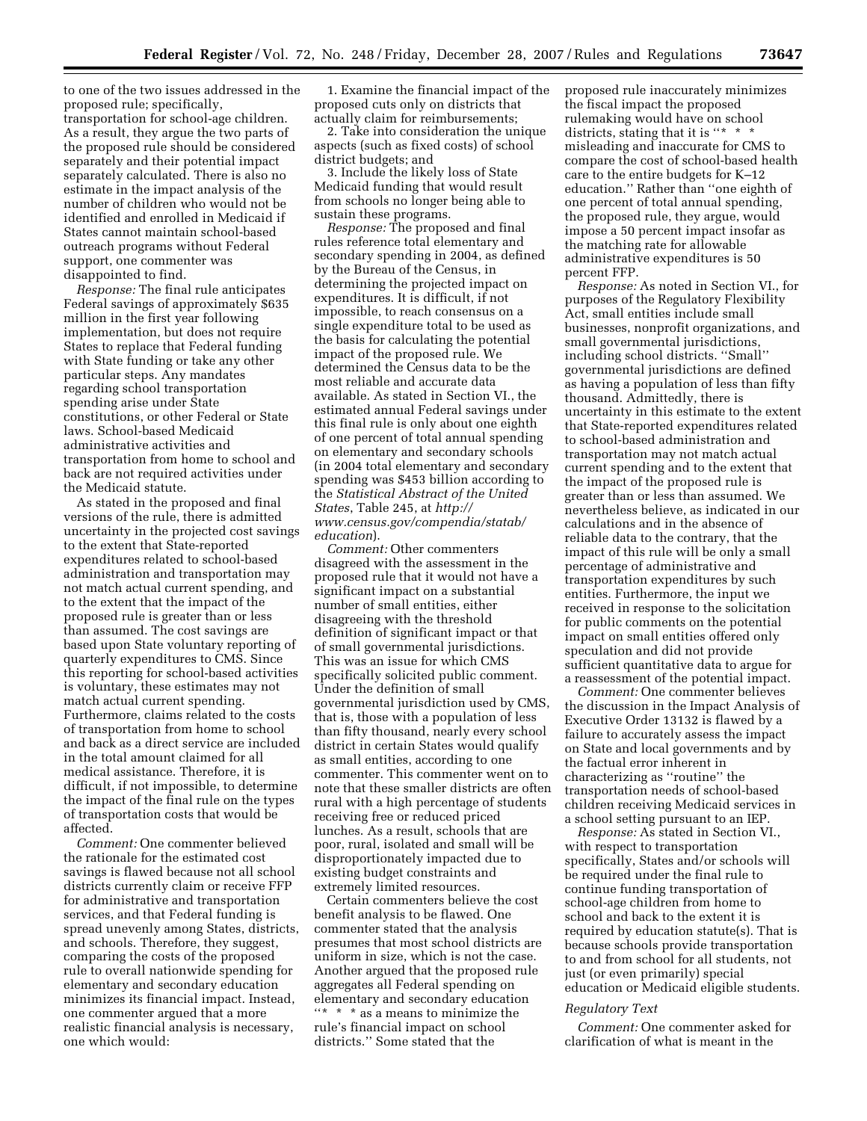to one of the two issues addressed in the proposed rule; specifically, transportation for school-age children. As a result, they argue the two parts of the proposed rule should be considered separately and their potential impact separately calculated. There is also no estimate in the impact analysis of the number of children who would not be identified and enrolled in Medicaid if States cannot maintain school-based outreach programs without Federal support, one commenter was disappointed to find.

*Response:* The final rule anticipates Federal savings of approximately \$635 million in the first year following implementation, but does not require States to replace that Federal funding with State funding or take any other particular steps. Any mandates regarding school transportation spending arise under State constitutions, or other Federal or State laws. School-based Medicaid administrative activities and transportation from home to school and back are not required activities under the Medicaid statute.

As stated in the proposed and final versions of the rule, there is admitted uncertainty in the projected cost savings to the extent that State-reported expenditures related to school-based administration and transportation may not match actual current spending, and to the extent that the impact of the proposed rule is greater than or less than assumed. The cost savings are based upon State voluntary reporting of quarterly expenditures to CMS. Since this reporting for school-based activities is voluntary, these estimates may not match actual current spending. Furthermore, claims related to the costs of transportation from home to school and back as a direct service are included in the total amount claimed for all medical assistance. Therefore, it is difficult, if not impossible, to determine the impact of the final rule on the types of transportation costs that would be affected.

*Comment:* One commenter believed the rationale for the estimated cost savings is flawed because not all school districts currently claim or receive FFP for administrative and transportation services, and that Federal funding is spread unevenly among States, districts, and schools. Therefore, they suggest, comparing the costs of the proposed rule to overall nationwide spending for elementary and secondary education minimizes its financial impact. Instead, one commenter argued that a more realistic financial analysis is necessary, one which would:

1. Examine the financial impact of the proposed cuts only on districts that actually claim for reimbursements;

2. Take into consideration the unique aspects (such as fixed costs) of school district budgets; and

3. Include the likely loss of State Medicaid funding that would result from schools no longer being able to sustain these programs.

*Response:* The proposed and final rules reference total elementary and secondary spending in 2004, as defined by the Bureau of the Census, in determining the projected impact on expenditures. It is difficult, if not impossible, to reach consensus on a single expenditure total to be used as the basis for calculating the potential impact of the proposed rule. We determined the Census data to be the most reliable and accurate data available. As stated in Section VI., the estimated annual Federal savings under this final rule is only about one eighth of one percent of total annual spending on elementary and secondary schools (in 2004 total elementary and secondary spending was \$453 billion according to the *Statistical Abstract of the United States*, Table 245, at *http:// www.census.gov/compendia/statab/ education*).

*Comment:* Other commenters disagreed with the assessment in the proposed rule that it would not have a significant impact on a substantial number of small entities, either disagreeing with the threshold definition of significant impact or that of small governmental jurisdictions. This was an issue for which CMS specifically solicited public comment. Under the definition of small governmental jurisdiction used by CMS, that is, those with a population of less than fifty thousand, nearly every school district in certain States would qualify as small entities, according to one commenter. This commenter went on to note that these smaller districts are often rural with a high percentage of students receiving free or reduced priced lunches. As a result, schools that are poor, rural, isolated and small will be disproportionately impacted due to existing budget constraints and extremely limited resources.

Certain commenters believe the cost benefit analysis to be flawed. One commenter stated that the analysis presumes that most school districts are uniform in size, which is not the case. Another argued that the proposed rule aggregates all Federal spending on elementary and secondary education ''\* \* \* as a means to minimize the rule's financial impact on school districts.'' Some stated that the

proposed rule inaccurately minimizes the fiscal impact the proposed rulemaking would have on school districts, stating that it is "\* \* \* misleading and inaccurate for CMS to compare the cost of school-based health care to the entire budgets for K–12 education.'' Rather than ''one eighth of one percent of total annual spending, the proposed rule, they argue, would impose a 50 percent impact insofar as the matching rate for allowable administrative expenditures is 50 percent FFP.

*Response:* As noted in Section VI., for purposes of the Regulatory Flexibility Act, small entities include small businesses, nonprofit organizations, and small governmental jurisdictions, including school districts. ''Small'' governmental jurisdictions are defined as having a population of less than fifty thousand. Admittedly, there is uncertainty in this estimate to the extent that State-reported expenditures related to school-based administration and transportation may not match actual current spending and to the extent that the impact of the proposed rule is greater than or less than assumed. We nevertheless believe, as indicated in our calculations and in the absence of reliable data to the contrary, that the impact of this rule will be only a small percentage of administrative and transportation expenditures by such entities. Furthermore, the input we received in response to the solicitation for public comments on the potential impact on small entities offered only speculation and did not provide sufficient quantitative data to argue for a reassessment of the potential impact.

*Comment:* One commenter believes the discussion in the Impact Analysis of Executive Order 13132 is flawed by a failure to accurately assess the impact on State and local governments and by the factual error inherent in characterizing as ''routine'' the transportation needs of school-based children receiving Medicaid services in a school setting pursuant to an IEP.

*Response:* As stated in Section VI., with respect to transportation specifically, States and/or schools will be required under the final rule to continue funding transportation of school-age children from home to school and back to the extent it is required by education statute(s). That is because schools provide transportation to and from school for all students, not just (or even primarily) special education or Medicaid eligible students.

### *Regulatory Text*

*Comment:* One commenter asked for clarification of what is meant in the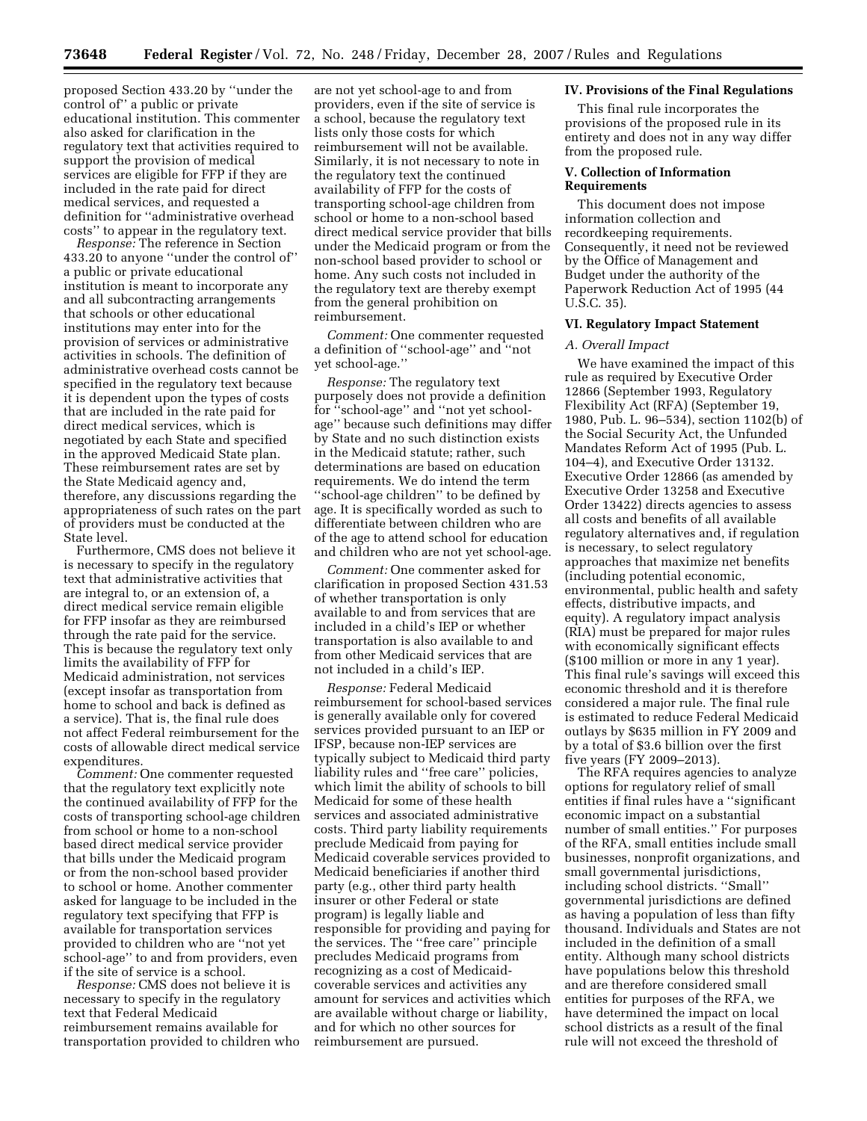proposed Section 433.20 by ''under the control of'' a public or private educational institution. This commenter also asked for clarification in the regulatory text that activities required to support the provision of medical services are eligible for FFP if they are included in the rate paid for direct medical services, and requested a definition for ''administrative overhead costs'' to appear in the regulatory text.

*Response:* The reference in Section 433.20 to anyone ''under the control of'' a public or private educational institution is meant to incorporate any and all subcontracting arrangements that schools or other educational institutions may enter into for the provision of services or administrative activities in schools. The definition of administrative overhead costs cannot be specified in the regulatory text because it is dependent upon the types of costs that are included in the rate paid for direct medical services, which is negotiated by each State and specified in the approved Medicaid State plan. These reimbursement rates are set by the State Medicaid agency and, therefore, any discussions regarding the appropriateness of such rates on the part of providers must be conducted at the State level.

Furthermore, CMS does not believe it is necessary to specify in the regulatory text that administrative activities that are integral to, or an extension of, a direct medical service remain eligible for FFP insofar as they are reimbursed through the rate paid for the service. This is because the regulatory text only limits the availability of FFP for Medicaid administration, not services (except insofar as transportation from home to school and back is defined as a service). That is, the final rule does not affect Federal reimbursement for the costs of allowable direct medical service expenditures.

*Comment:* One commenter requested that the regulatory text explicitly note the continued availability of FFP for the costs of transporting school-age children from school or home to a non-school based direct medical service provider that bills under the Medicaid program or from the non-school based provider to school or home. Another commenter asked for language to be included in the regulatory text specifying that FFP is available for transportation services provided to children who are ''not yet school-age'' to and from providers, even if the site of service is a school.

*Response:* CMS does not believe it is necessary to specify in the regulatory text that Federal Medicaid reimbursement remains available for transportation provided to children who

are not yet school-age to and from providers, even if the site of service is a school, because the regulatory text lists only those costs for which reimbursement will not be available. Similarly, it is not necessary to note in the regulatory text the continued availability of FFP for the costs of transporting school-age children from school or home to a non-school based direct medical service provider that bills under the Medicaid program or from the non-school based provider to school or home. Any such costs not included in the regulatory text are thereby exempt from the general prohibition on reimbursement.

*Comment:* One commenter requested a definition of ''school-age'' and ''not yet school-age.''

*Response:* The regulatory text purposely does not provide a definition for ''school-age'' and ''not yet schoolage'' because such definitions may differ by State and no such distinction exists in the Medicaid statute; rather, such determinations are based on education requirements. We do intend the term ''school-age children'' to be defined by age. It is specifically worded as such to differentiate between children who are of the age to attend school for education and children who are not yet school-age.

*Comment:* One commenter asked for clarification in proposed Section 431.53 of whether transportation is only available to and from services that are included in a child's IEP or whether transportation is also available to and from other Medicaid services that are not included in a child's IEP.

*Response:* Federal Medicaid reimbursement for school-based services is generally available only for covered services provided pursuant to an IEP or IFSP, because non-IEP services are typically subject to Medicaid third party liability rules and ''free care'' policies, which limit the ability of schools to bill Medicaid for some of these health services and associated administrative costs. Third party liability requirements preclude Medicaid from paying for Medicaid coverable services provided to Medicaid beneficiaries if another third party (e.g., other third party health insurer or other Federal or state program) is legally liable and responsible for providing and paying for the services. The ''free care'' principle precludes Medicaid programs from recognizing as a cost of Medicaidcoverable services and activities any amount for services and activities which are available without charge or liability, and for which no other sources for reimbursement are pursued.

# **IV. Provisions of the Final Regulations**

This final rule incorporates the provisions of the proposed rule in its entirety and does not in any way differ from the proposed rule.

# **V. Collection of Information Requirements**

This document does not impose information collection and recordkeeping requirements. Consequently, it need not be reviewed by the Office of Management and Budget under the authority of the Paperwork Reduction Act of 1995 (44 U.S.C. 35).

# **VI. Regulatory Impact Statement**

## *A. Overall Impact*

We have examined the impact of this rule as required by Executive Order 12866 (September 1993, Regulatory Flexibility Act (RFA) (September 19, 1980, Pub. L. 96–534), section 1102(b) of the Social Security Act, the Unfunded Mandates Reform Act of 1995 (Pub. L. 104–4), and Executive Order 13132. Executive Order 12866 (as amended by Executive Order 13258 and Executive Order 13422) directs agencies to assess all costs and benefits of all available regulatory alternatives and, if regulation is necessary, to select regulatory approaches that maximize net benefits (including potential economic, environmental, public health and safety effects, distributive impacts, and equity). A regulatory impact analysis (RIA) must be prepared for major rules with economically significant effects (\$100 million or more in any 1 year). This final rule's savings will exceed this economic threshold and it is therefore considered a major rule. The final rule is estimated to reduce Federal Medicaid outlays by \$635 million in FY 2009 and by a total of \$3.6 billion over the first five years (FY 2009–2013).

The RFA requires agencies to analyze options for regulatory relief of small entities if final rules have a ''significant economic impact on a substantial number of small entities.'' For purposes of the RFA, small entities include small businesses, nonprofit organizations, and small governmental jurisdictions, including school districts. ''Small'' governmental jurisdictions are defined as having a population of less than fifty thousand. Individuals and States are not included in the definition of a small entity. Although many school districts have populations below this threshold and are therefore considered small entities for purposes of the RFA, we have determined the impact on local school districts as a result of the final rule will not exceed the threshold of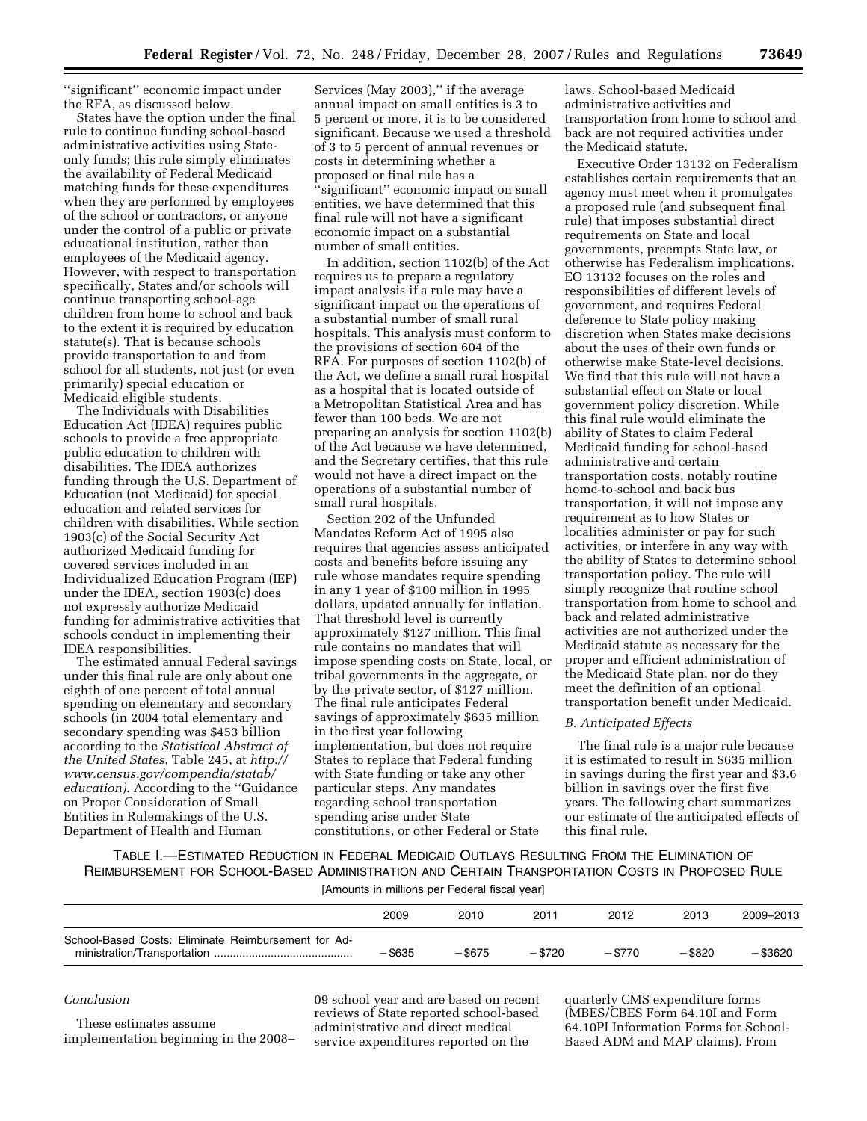''significant'' economic impact under the RFA, as discussed below.

States have the option under the final rule to continue funding school-based administrative activities using Stateonly funds; this rule simply eliminates the availability of Federal Medicaid matching funds for these expenditures when they are performed by employees of the school or contractors, or anyone under the control of a public or private educational institution, rather than employees of the Medicaid agency. However, with respect to transportation specifically, States and/or schools will continue transporting school-age children from home to school and back to the extent it is required by education statute(s). That is because schools provide transportation to and from school for all students, not just (or even primarily) special education or Medicaid eligible students.

The Individuals with Disabilities Education Act (IDEA) requires public schools to provide a free appropriate public education to children with disabilities. The IDEA authorizes funding through the U.S. Department of Education (not Medicaid) for special education and related services for children with disabilities. While section 1903(c) of the Social Security Act authorized Medicaid funding for covered services included in an Individualized Education Program (IEP) under the IDEA, section 1903(c) does not expressly authorize Medicaid funding for administrative activities that schools conduct in implementing their IDEA responsibilities.

The estimated annual Federal savings under this final rule are only about one eighth of one percent of total annual spending on elementary and secondary schools (in 2004 total elementary and secondary spending was \$453 billion according to the *Statistical Abstract of the United States*, Table 245, at *http:// www.census.gov/compendia/statab/ education)*. According to the ''Guidance on Proper Consideration of Small Entities in Rulemakings of the U.S. Department of Health and Human

Services (May 2003),'' if the average annual impact on small entities is 3 to 5 percent or more, it is to be considered significant. Because we used a threshold of 3 to 5 percent of annual revenues or costs in determining whether a proposed or final rule has a ''significant'' economic impact on small entities, we have determined that this final rule will not have a significant economic impact on a substantial number of small entities.

In addition, section 1102(b) of the Act requires us to prepare a regulatory impact analysis if a rule may have a significant impact on the operations of a substantial number of small rural hospitals. This analysis must conform to the provisions of section 604 of the RFA. For purposes of section 1102(b) of the Act, we define a small rural hospital as a hospital that is located outside of a Metropolitan Statistical Area and has fewer than 100 beds. We are not preparing an analysis for section 1102(b) of the Act because we have determined, and the Secretary certifies, that this rule would not have a direct impact on the operations of a substantial number of small rural hospitals.

Section 202 of the Unfunded Mandates Reform Act of 1995 also requires that agencies assess anticipated costs and benefits before issuing any rule whose mandates require spending in any 1 year of \$100 million in 1995 dollars, updated annually for inflation. That threshold level is currently approximately \$127 million. This final rule contains no mandates that will impose spending costs on State, local, or tribal governments in the aggregate, or by the private sector, of \$127 million. The final rule anticipates Federal savings of approximately \$635 million in the first year following implementation, but does not require States to replace that Federal funding with State funding or take any other particular steps. Any mandates regarding school transportation spending arise under State constitutions, or other Federal or State

laws. School-based Medicaid administrative activities and transportation from home to school and back are not required activities under the Medicaid statute.

Executive Order 13132 on Federalism establishes certain requirements that an agency must meet when it promulgates a proposed rule (and subsequent final rule) that imposes substantial direct requirements on State and local governments, preempts State law, or otherwise has Federalism implications. EO 13132 focuses on the roles and responsibilities of different levels of government, and requires Federal deference to State policy making discretion when States make decisions about the uses of their own funds or otherwise make State-level decisions. We find that this rule will not have a substantial effect on State or local government policy discretion. While this final rule would eliminate the ability of States to claim Federal Medicaid funding for school-based administrative and certain transportation costs, notably routine home-to-school and back bus transportation, it will not impose any requirement as to how States or localities administer or pay for such activities, or interfere in any way with the ability of States to determine school transportation policy. The rule will simply recognize that routine school transportation from home to school and back and related administrative activities are not authorized under the Medicaid statute as necessary for the proper and efficient administration of the Medicaid State plan, nor do they meet the definition of an optional transportation benefit under Medicaid.

# *B. Anticipated Effects*

The final rule is a major rule because it is estimated to result in \$635 million in savings during the first year and \$3.6 billion in savings over the first five years. The following chart summarizes our estimate of the anticipated effects of this final rule.

TABLE I.—ESTIMATED REDUCTION IN FEDERAL MEDICAID OUTLAYS RESULTING FROM THE ELIMINATION OF REIMBURSEMENT FOR SCHOOL-BASED ADMINISTRATION AND CERTAIN TRANSPORTATION COSTS IN PROPOSED RULE

| [Amounts in millions per Federal fiscal year] |  |  |
|-----------------------------------------------|--|--|
|-----------------------------------------------|--|--|

|                                                     | 2009      | 2010      | 2011      | 2012     | 2013      | 2009-2013 |
|-----------------------------------------------------|-----------|-----------|-----------|----------|-----------|-----------|
| School-Based Costs: Eliminate Reimbursement for Ad- | $-$ \$635 | $-$ \$675 | $-$ \$720 | $- $770$ | $-$ \$820 | - \$3620  |

#### *Conclusion*

These estimates assume implementation beginning in the 2008– 09 school year and are based on recent reviews of State reported school-based administrative and direct medical service expenditures reported on the

quarterly CMS expenditure forms (MBES/CBES Form 64.10I and Form 64.10PI Information Forms for School-Based ADM and MAP claims). From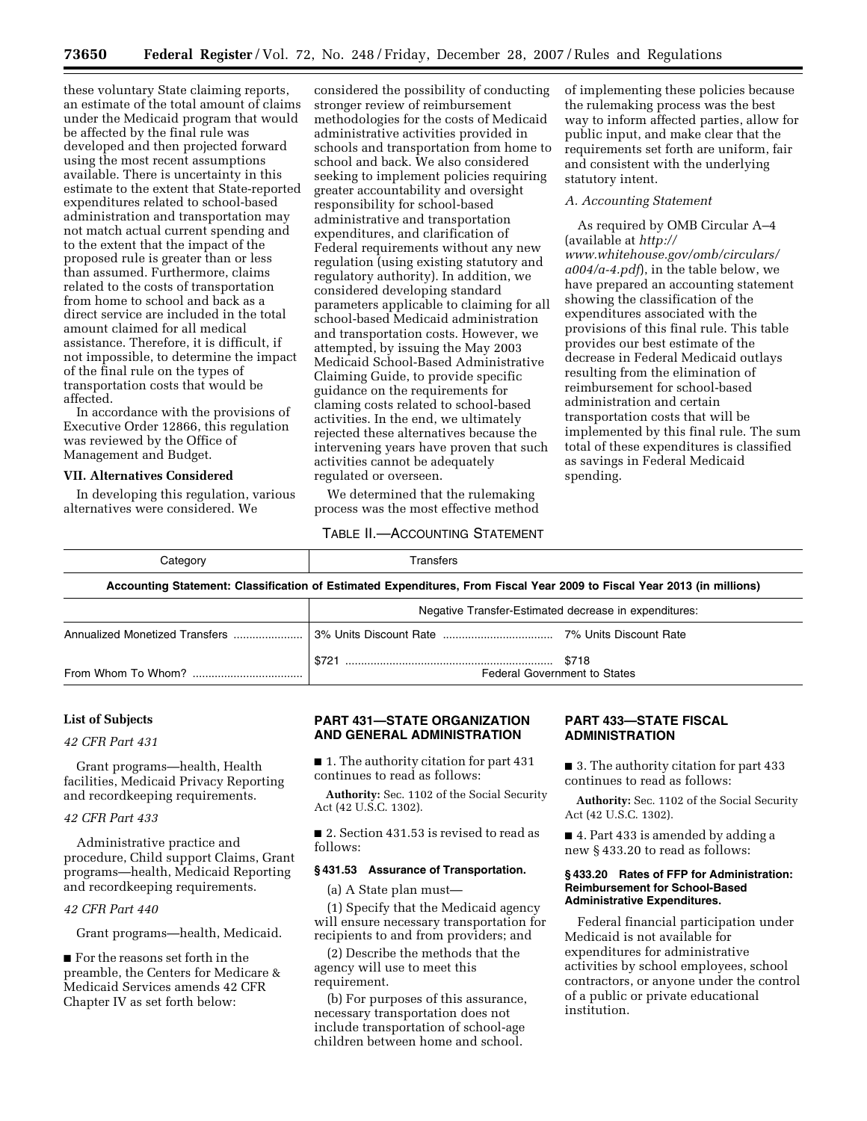these voluntary State claiming reports, an estimate of the total amount of claims under the Medicaid program that would be affected by the final rule was developed and then projected forward using the most recent assumptions available. There is uncertainty in this estimate to the extent that State-reported expenditures related to school-based administration and transportation may not match actual current spending and to the extent that the impact of the proposed rule is greater than or less than assumed. Furthermore, claims related to the costs of transportation from home to school and back as a direct service are included in the total amount claimed for all medical assistance. Therefore, it is difficult, if not impossible, to determine the impact of the final rule on the types of transportation costs that would be affected.

In accordance with the provisions of Executive Order 12866, this regulation was reviewed by the Office of Management and Budget.

# **VII. Alternatives Considered**

In developing this regulation, various alternatives were considered. We

considered the possibility of conducting stronger review of reimbursement methodologies for the costs of Medicaid administrative activities provided in schools and transportation from home to school and back. We also considered seeking to implement policies requiring greater accountability and oversight responsibility for school-based administrative and transportation expenditures, and clarification of Federal requirements without any new regulation (using existing statutory and regulatory authority). In addition, we considered developing standard parameters applicable to claiming for all school-based Medicaid administration and transportation costs. However, we attempted, by issuing the May 2003 Medicaid School-Based Administrative Claiming Guide, to provide specific guidance on the requirements for claming costs related to school-based activities. In the end, we ultimately rejected these alternatives because the intervening years have proven that such activities cannot be adequately regulated or overseen.

We determined that the rulemaking process was the most effective method

#### TABLE II.—ACCOUNTING STATEMENT

of implementing these policies because the rulemaking process was the best way to inform affected parties, allow for public input, and make clear that the requirements set forth are uniform, fair and consistent with the underlying statutory intent.

# *A. Accounting Statement*

As required by OMB Circular A–4 (available at *http:// www.whitehouse.gov/omb/circulars/ a004/a-4.pdf*), in the table below, we have prepared an accounting statement showing the classification of the expenditures associated with the provisions of this final rule. This table provides our best estimate of the decrease in Federal Medicaid outlays resulting from the elimination of reimbursement for school-based administration and certain transportation costs that will be implemented by this final rule. The sum total of these expenditures is classified as savings in Federal Medicaid spending.

| Category                                                                                                                | Transfers                                             |                        |  |  |  |
|-------------------------------------------------------------------------------------------------------------------------|-------------------------------------------------------|------------------------|--|--|--|
| Accounting Statement: Classification of Estimated Expenditures, From Fiscal Year 2009 to Fiscal Year 2013 (in millions) |                                                       |                        |  |  |  |
|                                                                                                                         | Negative Transfer-Estimated decrease in expenditures: |                        |  |  |  |
|                                                                                                                         |                                                       | 7% Units Discount Rate |  |  |  |

\$721 .................................................................. \$718

### **List of Subjects**

*42 CFR Part 431* 

Grant programs—health, Health facilities, Medicaid Privacy Reporting and recordkeeping requirements.

From Whom To Whom? ................................... Federal Government to States

# *42 CFR Part 433*

Administrative practice and procedure, Child support Claims, Grant programs—health, Medicaid Reporting and recordkeeping requirements.

# *42 CFR Part 440*

Grant programs—health, Medicaid.

■ For the reasons set forth in the preamble, the Centers for Medicare & Medicaid Services amends 42 CFR Chapter IV as set forth below:

# **PART 431—STATE ORGANIZATION AND GENERAL ADMINISTRATION**

■ 1. The authority citation for part 431 continues to read as follows:

**Authority:** Sec. 1102 of the Social Security Act (42 U.S.C. 1302).

■ 2. Section 431.53 is revised to read as follows:

# **§ 431.53 Assurance of Transportation.**

(a) A State plan must—

(1) Specify that the Medicaid agency will ensure necessary transportation for recipients to and from providers; and

(2) Describe the methods that the agency will use to meet this requirement.

(b) For purposes of this assurance, necessary transportation does not include transportation of school-age children between home and school.

# **PART 433—STATE FISCAL ADMINISTRATION**

■ 3. The authority citation for part 433 continues to read as follows:

**Authority:** Sec. 1102 of the Social Security Act (42 U.S.C. 1302).

■ 4. Part 433 is amended by adding a new § 433.20 to read as follows:

## **§ 433.20 Rates of FFP for Administration: Reimbursement for School-Based Administrative Expenditures.**

Federal financial participation under Medicaid is not available for expenditures for administrative activities by school employees, school contractors, or anyone under the control of a public or private educational institution.